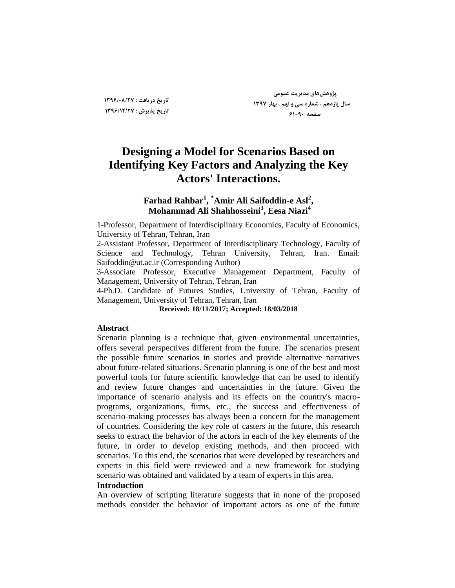# **Designing a Model for Scenarios Based on Identifying Key Factors and Analyzing the Key Actors' Interactions.**

# **Farhad Rahbar<sup>1</sup> , \*Amir Ali Saifoddin-e Asl<sup>2</sup> , Mohammad Ali Shahhosseini<sup>3</sup> , Eesa Niazi<sup>4</sup>**

1-Professor, Department of Interdisciplinary Economics, Faculty of Economics, University of Tehran, Tehran, Iran

2-Assistant Professor, Department of Interdisciplinary Technology, Faculty of Science and Technology, Tehran University, Tehran, Iran. Email: Saifoddin@ut.ac.ir (Corresponding Author)

3-Associate Professor, Executive Management Department, Faculty of Management, University of Tehran, Tehran, Iran

4-Ph.D. Candidate of Futures Studies, University of Tehran, Faculty of Management, University of Tehran, Tehran, Iran

#### **Received: 18/11/2017; Accepted: 18/03/2018**

## **Abstract**

Scenario planning is a technique that, given environmental uncertainties, offers several perspectives different from the future. The scenarios present the possible future scenarios in stories and provide alternative narratives about future-related situations. Scenario planning is one of the best and most powerful tools for future scientific knowledge that can be used to identify and review future changes and uncertainties in the future. Given the importance of scenario analysis and its effects on the country's macroprograms, organizations, firms, etc., the success and effectiveness of scenario-making processes has always been a concern for the management of countries. Considering the key role of casters in the future, this research seeks to extract the behavior of the actors in each of the key elements of the future, in order to develop existing methods, and then proceed with scenarios. To this end, the scenarios that were developed by researchers and experts in this field were reviewed and a new framework for studying scenario was obtained and validated by a team of experts in this area.

#### **Introduction**

An overview of scripting literature suggests that in none of the proposed methods consider the behavior of important actors as one of the future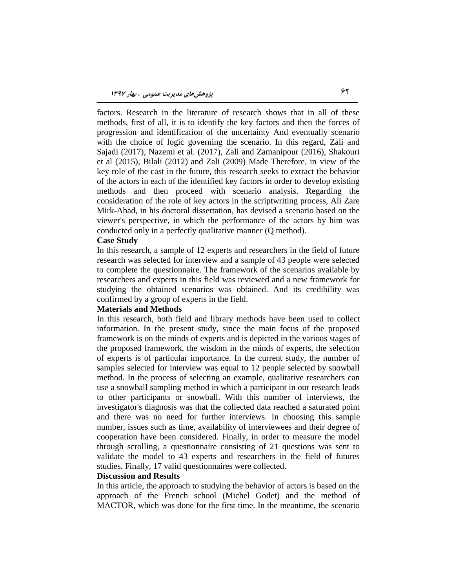factors. Research in the literature of research shows that in all of these methods, first of all, it is to identify the key factors and then the forces of progression and identification of the uncertainty And eventually scenario with the choice of logic governing the scenario. In this regard, Zali and Sajadi (2017), Nazemi et al. (2017), Zali and Zamanipour (2016), Shakouri et al (2015), Bilali (2012) and Zali (2009) Made Therefore, in view of the key role of the cast in the future, this research seeks to extract the behavior of the actors in each of the identified key factors in order to develop existing methods and then proceed with scenario analysis. Regarding the consideration of the role of key actors in the scriptwriting process, Ali Zare Mirk-Abad, in his doctoral dissertation, has devised a scenario based on the viewer's perspective, in which the performance of the actors by him was conducted only in a perfectly qualitative manner (Q method).

#### **Case Study**

In this research, a sample of 12 experts and researchers in the field of future research was selected for interview and a sample of 43 people were selected to complete the questionnaire. The framework of the scenarios available by researchers and experts in this field was reviewed and a new framework for studying the obtained scenarios was obtained. And its credibility was confirmed by a group of experts in the field.

#### **Materials and Methods**

In this research, both field and library methods have been used to collect information. In the present study, since the main focus of the proposed framework is on the minds of experts and is depicted in the various stages of the proposed framework, the wisdom in the minds of experts, the selection of experts is of particular importance. In the current study, the number of samples selected for interview was equal to 12 people selected by snowball method. In the process of selecting an example, qualitative researchers can use a snowball sampling method in which a participant in our research leads to other participants or snowball. With this number of interviews, the investigator's diagnosis was that the collected data reached a saturated point and there was no need for further interviews. In choosing this sample number, issues such as time, availability of interviewees and their degree of cooperation have been considered. Finally, in order to measure the model through scrolling, a questionnaire consisting of 21 questions was sent to validate the model to 43 experts and researchers in the field of futures studies. Finally, 17 valid questionnaires were collected.

#### **Discussion and Results**

In this article, the approach to studying the behavior of actors is based on the approach of the French school (Michel Godet) and the method of MACTOR, which was done for the first time. In the meantime, the scenario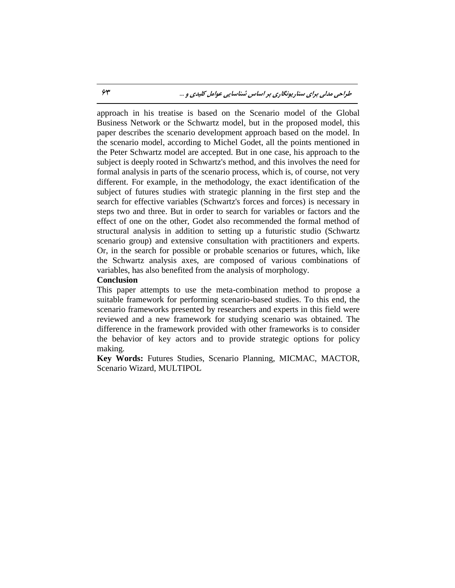approach in his treatise is based on the Scenario model of the Global Business Network or the Schwartz model, but in the proposed model, this paper describes the scenario development approach based on the model. In the scenario model, according to Michel Godet, all the points mentioned in the Peter Schwartz model are accepted. But in one case, his approach to the subject is deeply rooted in Schwartz's method, and this involves the need for formal analysis in parts of the scenario process, which is, of course, not very different. For example, in the methodology, the exact identification of the subject of futures studies with strategic planning in the first step and the search for effective variables (Schwartz's forces and forces) is necessary in steps two and three. But in order to search for variables or factors and the effect of one on the other, Godet also recommended the formal method of structural analysis in addition to setting up a futuristic studio (Schwartz scenario group) and extensive consultation with practitioners and experts. Or, in the search for possible or probable scenarios or futures, which, like the Schwartz analysis axes, are composed of various combinations of variables, has also benefited from the analysis of morphology.

#### **Conclusion**

This paper attempts to use the meta-combination method to propose a suitable framework for performing scenario-based studies. To this end, the scenario frameworks presented by researchers and experts in this field were reviewed and a new framework for studying scenario was obtained. The difference in the framework provided with other frameworks is to consider the behavior of key actors and to provide strategic options for policy making.

**Key Words:** Futures Studies, Scenario Planning, MICMAC, MACTOR, Scenario Wizard, MULTIPOL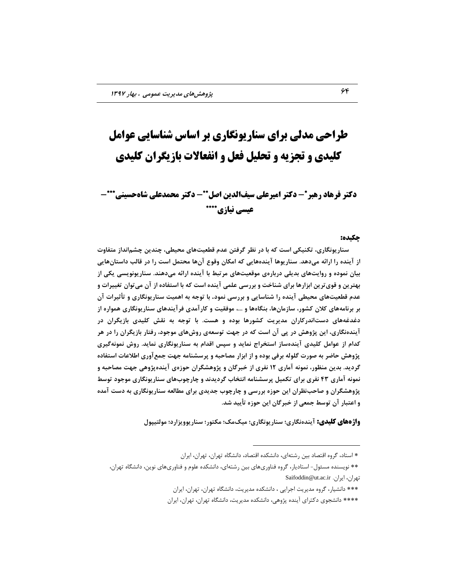# **طراحی مدلی برای سىاریًوگاری بر اساس شىاسایی عًامل کلیدی و تجزیه و تحلیل فعل و انفعالات بازیگران کلیدی**

# **دکتر فرهاد رهبر\*- دکتر امیرعلی سیفالدین اصل\*\*- دکتر محمدعلی شاهحسینی\*\*\*-عیسی نیازی\*\*\*\***

#### **چکید:ٌ**

 **سٌاریًَگاری، تکٌیکی است کِ تا در ًظز گزفتي ػذم قطؼیتّای هحیطی، چٌذیي چطناًذاس هتفاٍت اس آیٌذُ را ارائِ هیدّذ. سٌاریَّا آیٌذُّایی کِ اهکاى ٍقَع آىّا هحتول است را در قالة داستاىّایی تیاى ًوَدُ ٍ رٍایتّای تذیلی درتارُی هَقؼیتّای هزتثط تا آیٌذُ ارائِ هیدٌّذ. سٌاریًََیسی یکی اس** بهترین و قوی ترین ابزارها برای شناخت و بررسی علمی آینده است که با استفاده از آن می توان تغییرات و **ػذم قطؼیتّای هحیطی آیٌذُ را ضٌاسایی ٍ تزرسی ًوَد. تا تَجِ تِ اّویت سٌاریًَگاری ٍ تأثیزات آى**  بر برنامههای کلان کشور، سازمانها، بنگاهها و ...، موفقیت و کارآمدی فرآیندهای سناریونگاری همواره از **دغذغِّای دستاًذرکاراى هذیزیت کطَرّا تَدُ ٍ ّست. تا تَجِ تِ ًقص کلیذی تاسیگزاى در آیٌذًُگاری، ایي پژٍّص در پی آى است کِ در جْت تَسؼِی رٍشّای هَجَد، رفتار تاسیگزاى را در ّز کذام اس ػَاهل کلیذی آیٌذُساس استخزاج ًوایذ ٍ سپس اقذام تِ سٌاریًَگاری ًوایذ. رٍش ًوًَِگیزی پژٍّص حاضز تِ صَرت گلَلِ تزفی تَدُ ٍ اس اتشار هصاحثِ ٍ پزسطٌاهِ جْت جوغآٍری اطالػات استفادُ**  گردید. بدین منظور، نمونه آماری 1۲ نفری از خبرگان و پژوهشگران حوزهی آیندهپژوهی جهت مصاحبه و **ًوًَِ آهاری 43 ًفزی تزای تکویل پزسطٌاهِ اًتخاب گزدیذًذ ٍ چارچَبّای سٌاریًَگاری هَجَد تَسط**  پژوهشگران و صاحب**نظران این حوزه بررسی و چارچوب جدیدی برای** مطالعه سناریونگاری به دست آمده و اعتبار آن توسط جمعی از خبرگان این حوزه تأیید شد.

**واژههای کلیدی:** آیندهنگاری؛ سناریونگاری؛ میکمک؛ مکتور؛ سناریوویزارد؛ مولتیپول

<sup>\*</sup> استاد، گروه اقتصاد بین رشتهاى، دانشكده اقتصاد، دانشگاه تهران، تهران، ایران

<sup>\*\*</sup> نویسنده مسئول- استادیار، گروه فناوریهای بین رشتهای، دانشکده علوم و فناوریهای نوین، دانشگاه تهران، Saifoddin@ut.ac.ir .ایطاى ،طاىْت

<sup>\*\*\*</sup> دانشیار، گروه مدیریت اجرایی ، دانشكده مدیریت، دانشگاه تهران، تهران، ایران

<sup>\*\*\*\*</sup> دانشجوی دکترای آینده پژوهی، دانشکده مدیریت، دانشگاه تهران، تهران، ایران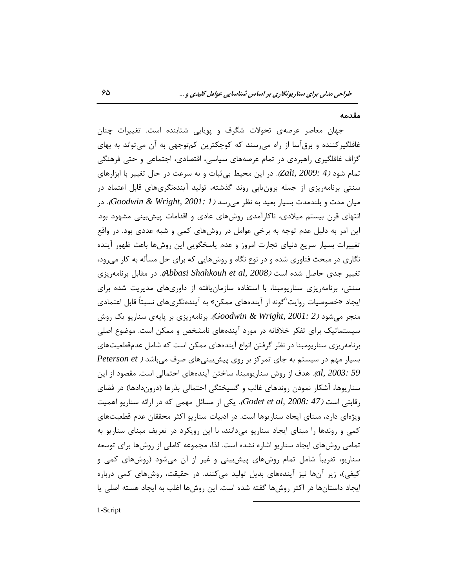#### **هقذهِ**

جهان معاصر عرصهی تحولات شگرف و پویایی شتابنده است. تغییرات چنان غافلگیرکننده و برقآسا از راه میرسند که کوچکترین کمتوجهی به آن میتواند به بهای گزاف غافلگیری راهبردی در تمام عرصههای سیاسی، اقتصادی، اجتماعی و حتی فرهنگی تمام شود *(4 :Zali, 2009).* در این محیط بی ثبات و به سرعت در حال تغییر با ابزارهای سنتی برنامهِریزی از جمله برونِ یابی روند گذشته، تولید آیندهنگریهای قابل اعتماد در هیان مدت و بلندمدت بسیار بعید به نظر م<sub>یر</sub>سد *(Goodwin & Wright, 2001: 1).* در انتهای قرن بیستم میلادی، ناکارآمدی روشهای عادی و اقدامات پیش بینی مشهود بود. این امر به دلیل عدم توجه به برخی عوامل در روشهای کمی و شبه عددی بود. در واقع تغییرات بسیار سریع دنیای تجارت امروز و عدم پاسخگویی این روشها باعث ظهور آینده نگاری در مبحث فناوری شده و در نوع نگاه و روشهایی که برای حل مسأله به کار میرود، تغییر جدی حاصل شده است *(Abbasi Shahkouh et al, 2008).* در مقابل برنامهریزی سنتی، برنامهریزی سناریومبنا، با استفاده سازمان یافته از داوریهای مدیریت شده برای ایجاد «خصوصیات روایت<sup>۱</sup>گونه از آیندههای ممکن» به آیندهنگریهای نسبتاً قابل اعتمادی هنجر میشود *(2 :Goodwin & Wright, 2001).* برنامهریزی بر پایهی سناریو یک روش سیستماتیک برای تفکر خلاقانه در مورد آیندههای نامشخص و ممکن است. موضوع اصلی برنامهِریزی سناریومبنا در نظر گرفتن انواع آیندههای ممکن است که شامل عدمقطعیتهای ثؿیبض هْن زض ؾیؿتن ثِ خبی توطوع ثط ضٍی پیفثیٌیّبی نطف هیثبقس ) *et Peterson 03: 3003, al).* هدف از روش سناريومبنا، ساختن آيندههای احتمالی است. مقصود از این سناریوها، آشکار نمودن روندهای غالب و گسیختگی احتمالی بذرها (دروندادها) در فضای رقابتی است *(47 Godet et al, 2008:* یکی از مسائل مهمی که در ارائه سناریو اهمیت ویژهای دارد، مبنای ایجاد سناریوها است. در ادبیات سناریو اکثر محققان عدم قطعیتهای کمی و روندها را مبنای ایجاد سناریو میدانند، با این رویکرد در تعریف مبنای سناریو به تمامی روشهای ایجاد سناریو اشاره نشده است. لذا، مجموعه كاملی از روشها برای توسعه سناریو، تقریباً شامل تمام روشهای پیش بینی و غیر از آن می شود (روشهای کمی و کیفی)، زیر آنها نیز آیندههای بدیل تولید می کنند. در حقیقت، روشهای کمی درباره ایجاد داستانها در اکثر روشها گفته شده است. این روشها اغلب به ایجاد هسته اصلی یا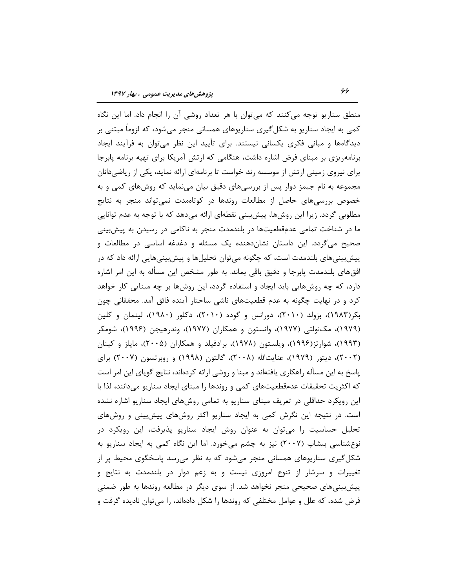منطق سناریو توجه می کنند که می توان با هر تعداد روشی آن را انجام داد. اما این نگاه کمی به ایجاد سناریو به شکل گیری سناریوهای همسانی منجر میشود، که لزوماً مبتنی بر دیدگاهها و مبانی فکری یکسانی نیستند. برای تأیید این نظر میتوان به فرآیند ایجاد برنامهریزی بر مبنای فرض اشاره داشت، هنگامی که ارتش آمریکا برای تهیه برنامه پابرجا برای نیروی زمینی ارتش از موسسه رند خواست تا برنامهای ارائه نماید، یکی از ریاضی دانان مجموعه به نام جیمز دوار پس از بررسیهای دقیق بیان مینماید که روشهای کمی و به خصوص بررسیهای حاصل از مطالعات روندها در کوتاهمدت نمی تواند منجر به نتایج مطلوبی گردد. زیرا این روشها، پیشبینی نقطهای ارائه میدهد که با توجه به عدم توانایی ما در شناخت تمامی عدمقطعیتها در بلندمدت منجر به ناکامی در رسیدن به پیش بینی صحیح میگردد. این داستان نشانِدهنده یک مسئله و دغدغه اساسی در مطالعات و پیشبیتیهای بلندمدت است، که چگونه میتوان تحلیلها و پیشبینیهایی ارائه داد که در افقهای بلندمدت پابرجا و دقیق باقی بماند. به طور مشخص این مسأله به این امر اشاره دارد، که چه روش&ایی باید ایجاد و استفاده گردد، این روشها بر چه مبنایی کار خواهد کرد و در نهایت چگونه به عدم قطعیتهای ناشی ساختار آینده فائق آمد. محققانی چون بکر(۱۹۸۳)، بزولد (۲۰۱۰)، دورانس و گوده (۲۰۱۰)، دکلور (۱۹۸۰)، لینمان و کلین (۱۹۷۹)، مکنولتی (۱۹۷۷)، وانستون و همکاران (۱۹۷۷)، وندرهیجن (۱۹۹۶)، شومکر (۱۹۹۳)، شوارتز(۱۹۹۶)، ویلستون (۱۹۷۸)، برادفیلد و همکاران (۲۰۰۵)، مایلز و کینان (۲۰۰۲)، دیتور (۱۹۷۹)، عنایتالله (۲۰۰۸)، گالتون (۱۹۹۸) و روبرتسون (۲۰۰۷) برای پاسخ به این مسأله راهکاری یافتهاند و مبنا و روشی ارائه کردهاند، نتایج گویای این امر است که اکثریت تحقیقات عدمقطعیتهای کمی و روندها را مبنای ایجاد سناریو میدانند، لذا با این رویکرد حداقلی در تعریف مبنای سناریو به تمامی روشهای ایجاد سناریو اشاره نشده است. در نتیجه این نگرش کمی به ایجاد سناریو اکثر روشهای پیش بینی و روشهای تحلیل حساسیت را میتوان به عنوان روش ایجاد سناریو پذیرفت، این رویکرد در نوع شناسی بیشاپ (۲۰۰۷) نیز به چشم می خورد. اما این نگاه کمی به ایجاد سناریو به شکلگیری سناریوهای همسانی منجر میشود که به نظر میرسد پاسخگوی محیط پر از تغییرات و سرشار از تنوع امروزی نیست و به زعم دوار در بلندمدت به نتایج و پیش بینی های صحیحی منجر نخواهد شد. از سوی دیگر در مطالعه روندها به طور ضمنی فرض شده، که علل و عوامل مختلفی که روندها را شکل دادهاند، را میتوان نادیده گرفت و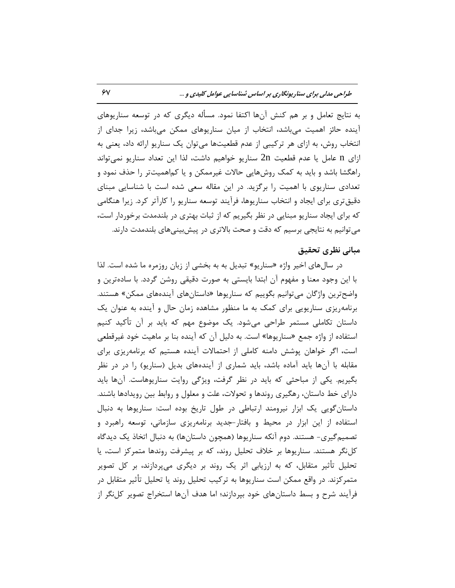به نتایج تعامل و بر هم کنش آنها اکتفا نمود. مسأله دیگری که در توسعه سناریوهای آینده حائز اهمیت میباشد، انتخاب از میان سناریوهای ممکن میباشد، زیرا جدای از انتخاب روش، به ازای هر ترکیبی از عدم قطعیتها میتوان یک سناریو ارائه داد، یعنی به ازای n عامل یا عدم قطعیت 2n سناریو خواهیم داشت، لذا این تعداد سناریو نمیتواند راهگشا باشد و باید به کمک روشهایی حالات غیرممکن و یا کماهمیتتر را حذف نمود و تعدادی سناریوی با اهمیت را برگزید. در این مقاله سعی شده است با شناسایی مبنای دقیق تری برای ایجاد و انتخاب سناریوها، فرآیند توسعه سناریو را کارآتر کرد. زیرا هنگامی که برای ایجاد سناریو مبنایی در نظر بگیریم که از ثبات بهتری در بلندمدت برخوردار است، می توانیم به نتایجی برسیم که دقت و صحت بالاتری در پیش بینی های بلندمدت دارند.

## **هثاًی ًظزی تحقیق**

در سال های اخیر واژه «سناریو» تبدیل به به بخشی از زبان روزمره ما شده است. لذا با این وجود معنا و مفهوم آن ابتدا بایستی به صورت دقیقی روشن گردد. با سادهترین و واضح ترین واژگان می توانیم بگوییم که سناریوها «داستانهای آیندههای ممکن» هستند. برنامهِ ریزی سناریویی برای کمک به ما منظور مشاهده زمان حال و آینده به عنوان یک داستان تکاملی مستمر طراحی میشود. یک موضوع مهم که باید بر آن تأکید کنیم استفاده از واژه جمع «سناریوها» است. به دلیل آن که آینده بنا بر ماهیت خود غیرقطعی است، اگر خواهان پوشش دامنه کاملی از احتمالات آینده هستیم که برنامهریزی برای مقابله با آنها باید آماده باشد، باید شماری از آیندههای بدیل (سناریو) را در در نظر بگیریم. یکی از مباحثی که باید در نظر گرفت، ویژگی روایت سناریوهاست. آنها باید دارای خط داستان، رهگیری روندها و تحولات، علت و معلول و روابط بین رویدادها باشند. داستان گویی یک ابزار نیرومند ارتباطی در طول تاریخ بوده است: سناریوها به دنبال استفاده از این ابزار در محیط و بافتار-جدید برنامهریزی سازمانی، توسعه راهبرد و تصمیمگیری- هستند. دوم آنکه سناریوها (همچون داستانها) به دنبال اتخاذ یک دیدگاه كل نگر هستند. سناریوها بر خلاف تحلیل روند، كه بر پیشرفت روندها متمركز است، یا تحلیل تأثیر متقابل، که به ارزیابی اثر یک روند بر دیگری میپردازند، بر کل تصویر متمرکزند. در واقع ممکن است سناریوها به ترکیب تحلیل روند یا تحلیل تأثیر متقابل در فرآیند شرح و بسط داستانهای خود بپردازند؛ اما هدف آنها استخراج تصویر کلiگر از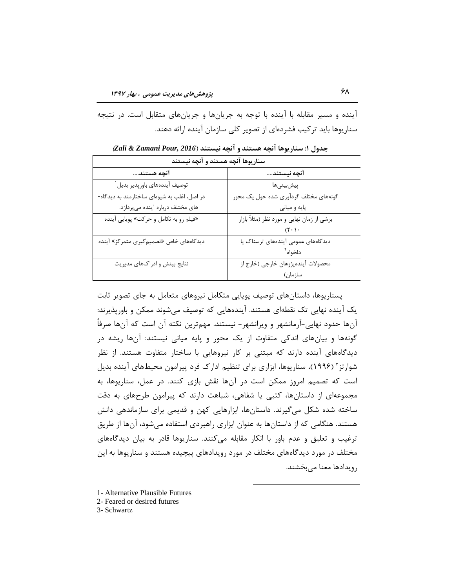آینده و مسیر مقابله با آینده با توجه به جریانها و جریانهای متقابل است. در نتیجه سناریوها باید ترکیب فشردهای از تصویر کلی سازمان آینده ارائه دهند.

| سناريوها آنچه هستند و آنچه نيستند           |                                            |  |  |  |  |  |
|---------------------------------------------|--------------------------------------------|--|--|--|--|--|
| آنچه هستند                                  | آنچه نیستند                                |  |  |  |  |  |
| توصيف آيندههاى باورپذير بديل <sup>ا</sup>   | پیشبینیها                                  |  |  |  |  |  |
| در اصل، اغلب به شیوهای ساختارمند به دیدگاه- | گونههای مختلف گردآوری شده حول یک محور      |  |  |  |  |  |
| های مختلف درباره آینده میپردازد.            | پايه و مياني                               |  |  |  |  |  |
| «فیلم رو به تکامل و حرکت» پویایی آینده      | برشی از زمان نهایی و مورد نظر (مثلاً بازار |  |  |  |  |  |
|                                             |                                            |  |  |  |  |  |
| دیدگاههای خاص «تصمیم گیری متمرکز» آینده     | دیدگاههای عمومی آیندههای ترسناک یا         |  |  |  |  |  |
|                                             | دلخواه آ                                   |  |  |  |  |  |
| نتایج بینش و ادراکهای مدیریت                | محصولات آيندهپژوهان خارجي (خارج از         |  |  |  |  |  |
|                                             | سازمان)                                    |  |  |  |  |  |

**جذٍل :1 سٌاریَّا آًچِ ّستٌذ ٍ آًچِ ًیستٌذ )***2016 ,Pour Zamani & Zali***)**

پسناریوها، داستانهای توصیف پویایی متکامل نیروهای متعامل به جای تصویر ثابت یک آینده نهایی تک نقطهای هستند. آیندههایی که توصیف می شوند ممکن و باورپذیرند: آنها حدود نهایی-آرمانشهر و ویرانشهر- نیستند. مهمترین نكته آن است كه آنها صرفاً گونهها و بیانهای اندکی متفاوت از یک محور و پایه میانی نیستند: آنها ریشه در دیدگاههای آینده دارند که مبتنی بر کار نیروهایی با ساختار متفاوت هستند. از نظر شوارتز" (۱۹۹۶)، سناریوها، ابزاری برای تنظیم ادارک فرد پیرامون محیطهای آینده بدیل است که تصمیم امروز ممکن است در آنها نقش بازی کنند. در عمل، سناریوها، به مجموعِهاى از داستانها، كتبى یا شفاهى، شباهت دارند كه پیرامون طرحهاى به دقت ساخته شده شکل میگیرند. داستانها، ابزارهایی کهن و قدیمی برای سازماندهی دانش هستند. هنگامی که از داستانها به عنوان ابزاری راهبردی استفاده میشود، آنها از طریق ترغیب و تعلیق و عدم باور با انکار مقابله میکنند. سناریوها قادر به بیان دیدگاههای مختلف در مورد دیدگاههای مختلف در مورد رویدادهای پیچیده هستند و سناریوها به این رویدادها معنا میبخشند.

 $\overline{a}$ 

1- Alternative Plausible Futures

2- Feared or desired futures

3- Schwartz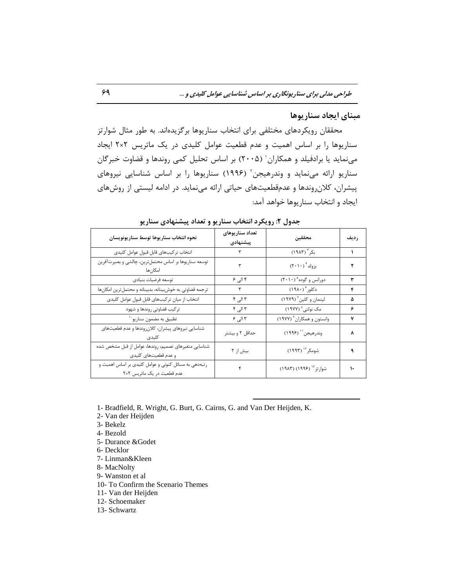## هبنای ایجاد سناریوها

محققان رویکردهای مختلفی برای انتخاب سناریوها برگزیدهاند. به طور مثال شوارتز سناریوها را بر اساس اهمیت و عدم قطعیت عوامل کلیدی در یک ماتریس ٢×٢ ایجاد مینماید یا برادفیلد و همکاران` (۲۰۰۵) بر اساس تحلیل کمی روندها و قضاوت خبرگان سناریو ارائه مینماید و وندرهیجن ٔ (۱۹۹۶) سناریوها را بر اساس شناسایی نیروهای ییشران، كلان روندها و عدمقطعیتهای حیاتی ارائه می نماید. در ادامه لیستی از روشهای ایجاد و انتخاب سناریوها خواهد آمد:

|                                                                                    | .                           |                                                                          |      |
|------------------------------------------------------------------------------------|-----------------------------|--------------------------------------------------------------------------|------|
| نحوه انتخاب سناريوها توسط سناريونويسان                                             | تعداد سناريوهاي<br>ييشنهادي | محققين                                                                   | رديف |
| انتخاب تركيبهاى قابل قبول عوامل كليدى                                              |                             | بکر " (۱۹۸۳)                                                             |      |
| توسعه سناریوها بر اساس محتملترین، چالشی و بصیرتآفرین<br>امكانها                    | ٣                           | $(\Upsilon\cdot\Upsilon\cdot)$ بزولد $^{\dagger}$                        |      |
| توسعه فرضيات بنيادي                                                                | ۴ الی ۶                     | $\overline{\text{(1)}\cdot\text{)}}^{\text{a}}$ دورانس و گوده $\text{ }$ | ۳    |
| ترجمه قضاوتى به خوش بينانه، بدبينانه و محتمل ترين امكانها                          | ٣                           | دکلور ۱۹۸۰)                                                              | ۴    |
| انتخاب از میان ترکیبهای قابل قبول عوامل کلیدی                                      | ۳ الی ۴                     | لینمان و کلین <sup>۷</sup> (۱۹۷۹)                                        | ۵    |
| ترکیب قضاوتی روندها و شهود                                                         | ۳ الی ۴                     | مک نولتی^ (۱۹۷۷)                                                         | ۶    |
| تطبيق به مضمون سناريو ``                                                           | ۳ الی ۶                     | وانستون و همکاران <sup>۹</sup> (۱۹۷۷)                                    | ٧    |
| شناسايي نيروهاي پيشران، كلانروندها و عدم قطعيتهاي                                  | حداقل ۲ و بیشتر             | وندرهيجن'' (١٩٩۶)                                                        |      |
| شناسایی متغیرهای تصمیم، روندها، عوامل از قبل مشخص شده<br>و عدم قطعیتهای کلیدی      | بیش از ۲                    | شومکر ۱٬ (۱۹۹۳)                                                          |      |
| رتبهدهی به مسائل کنونی و عوامل کلیدی بر اساس اهمیت و<br>عدم قطعیت در یک ماتریس ٢×٢ |                             | شوارتز <sup>۱۳</sup> (۱۹۹۶) (۱۹۸۳)                                       |      |

جدول ۲: رویکرد انتخاب سناریو و تعداد پیشنهادی سناریو

- 1- Bradfield, R. Wright, G. Burt, G. Cairns, G. and Van Der Heijden, K.
- 2- Van der Heijden
- 3- Bekelz
- 4- Bezold
- 5- Durance &Godet
- 6- Decklor
- 7- Linman&Kleen
- 8- MacNolty
- 9- Wanston et al
- 10- To Confirm the Scenario Themes
- 11- Van der Heijden
- 12- Schoemaker
- 13- Schwartz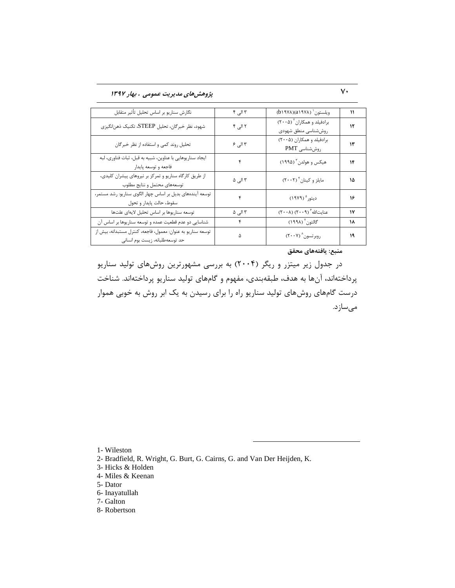# 70 **پژٍّصّای هذیزیت ػوَهی ، تْار 1397**

| نگارش سناريو بر اساس تحليل تأثير متقابل                                                         | ۳ الی ۴ | ويلستون <sup>'</sup> (۱۹۷۸)(۱۹۷۸)                          | ۱۱ |
|-------------------------------------------------------------------------------------------------|---------|------------------------------------------------------------|----|
| شهود، نظر خبرگان، تحلیل STEEP، تکنیک ذهن نگیزی                                                  | ۲ الی ۴ | برادفیلد و همکاران ` (۲۰۰۵)<br>روششناسي منطق شهودي         | ۱۲ |
| تحلیل روند کمی و استفاده از نظر خبرگان                                                          | ۳ الی ۶ | برادفیلد و همکاران (۲۰۰۵)<br>روششناسی PMT                  | ۱۳ |
| ايجاد سناريوهايي با عناوين، شبيه به قبل، ثبات فناوري، لبه<br>فاجعه و توسعه پايدار               | ۴       | هیکس و هولدن <sup>۳</sup> (۱۹۹۵)                           | ۱۴ |
| از طریق کارگاه سناریو و تمرکز بر نیروهای پیشران کلیدی،<br>توسعههای محتمل و نتایج مطلوب          | ۳ الی ۵ | مايلز و كينان ٢٠٠٢)                                        | ۱۵ |
| توسعه آیندههای بدیل بر اساس چهار الگوی سناریو: رشد مستمر،<br>سقوط، حالت پايدار و تحول           | ۴       | ديتور <sup>ه</sup> (١٩٧٩)                                  | ۱۶ |
| توسعه سناريوها بر اساس تحليل لايهاى علتها                                                       | ۳ الی ۵ | عنایتالله $\left( \mathbf{Y}\cdot\mathbf{A}\right)$ (۲۰۰۸) | ١٧ |
| شناسایی دو عدم قطعیت عمده و توسعه سناریوها بر اساس آن                                           | ۴       | گالتون <sup>۷</sup> (۱۹۹۸)                                 | ۱۸ |
| توسعه سناريو به عنوان: معمول، فاجعه، كنترل مستبدانه، بيش از<br>حد توسعه طلبانه، زيست بوم انساني | ۵       | روبرتسون ۲۰۰۷)                                             | ١٩ |

**هٌثغ: یافتِّای هحقق**

در جدول زیر میتزر و ریگر (۲۰۰۴) به بررسی مشهورترین روشهای تولید سناریو پرداختهاند، آنها به هدف، طبقهبندی، مفهوم و گامهای تولید سناریو پرداختهاند. شناخت درست گامهای روشهای تولید سناریو راه را برای رسیدن به یک ابر روش به خوبی هموار می سازد.

1- Wileston

2- Bradfield, R. Wright, G. Burt, G. Cairns, G. and Van Der Heijden, K.

- 3- Hicks & Holden
- 4- Miles & Keenan
- 5- Dator
- 6- Inayatullah
- 7- Galton
- 8- Robertson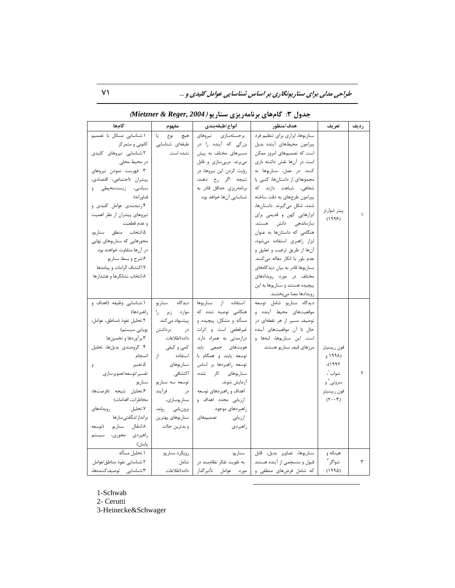**طراحی مدلی برای سناریونگاری بر اساس شناسایی عوامل کلیدی و ...** 71

| گامها                       | مفهوم            | انواع ⁄طبقهبندي          | هدف/منظور                                     | تعريف               | رديف |
|-----------------------------|------------------|--------------------------|-----------------------------------------------|---------------------|------|
| ۰.شناسایی مسائل با تصمیم    | L.<br>نوع<br>هيچ | برجستهسازى نيروهاى       | سناریوها، ابزاری برای تنظیم فرد               |                     |      |
| کانونی و متمرکز             | طبقهای شناسایی   | بزرگی که آینده را در     | پیرامون محیطهای آینده بدیل                    |                     |      |
| ٢.شناسايى نيروهاى كليدى     | نشده است.        | مسیرهای مختلف به پیش     | است که تصمیمهای امروز ممکن                    |                     |      |
| در محیط محلی                |                  | میبرند. مربیسازی و قابل  | است در آنها نقش داشته بازی                    |                     |      |
| ۳. فهرست نمودن نیروهای      |                  | رؤیت کردن این نیروها، در | کنند. در عمل، سناریوها به                     |                     |      |
| پیشران (اجتماعی، اقتصادی،   |                  | نتيجه اگر رخ دهند،       | مجموعهای از داستانها، کتبی یا                 |                     |      |
| سیاسی، زیستمحیطی و          |                  | برنامەريزى حداقل قادر بە | شفاهی، شباهت دارند که                         |                     |      |
| فناورانه)                   |                  | شناسایی آنها خواهد بود.  | پیرامون طرحهای به دقت ساخته                   |                     |      |
| ۰۴ تبهبندی عوامل کلیدی و    |                  |                          | شده، شكل مى گيرند. داستانها،                  | پيتر شوارتز         |      |
| نیروهای پیشران از نظر اهمیت |                  |                          | ابزارهایی کهن و قدیمی برای                    | (1995)              |      |
| و عدم قطعیت                 |                  |                          | سازماندهی دانش هستند.                         |                     |      |
| ۰.۵ انتخاب منطق سناريو،     |                  |                          | هنگامی که داستانها به عنوان                   |                     |      |
| محورهایی که سناریوهای نهایی |                  |                          | ابزار راهبری استفاده میشود،                   |                     |      |
| در آنها متفاوت خواهند بود.  |                  |                          | آنها از طريق ترغيب و تعليق و                  |                     |      |
| ۶.شرح و بسط سناريو          |                  |                          | عدم باور با انکار مقاله میکنند.               |                     |      |
| ١.٧كتشاف الزامات و پيامدها  |                  |                          | سناریوها قادر به بیان دیدگاههای               |                     |      |
| ۸.انتخاب نشانگرها و هشدارها |                  |                          | مختلف در مورد رويدادهاي                       |                     |      |
|                             |                  |                          | پیچیده هستند و سناریوها به این                |                     |      |
|                             |                  |                          | رويدادها معنا مىبخشند.                        |                     |      |
| ۰.شناسایی وظیفه (اهداف و    | سناريو<br>ديدگاه | استفاده از سناريوها      | دیدگاه سناریو شامل توسعه                      |                     |      |
| ل راهبر دها)                | موارد زير را     | هنگامی توصیه شده که      | موقعیتهای محیط آینده و                        |                     |      |
| ٢.تحليل نفوذ (مناطق، عوامل، | پیشنهاد میکند:   | مسأله و مشکل، پیچیده و   | توصیف مسیر از هر نقطهای در                    |                     |      |
| پویایی سیستم)               | در برداشتن       | غیرقطعی است و اثرات      | حال تا آن موقعیتهای آینده                     |                     |      |
| ۰۳برآوردها و تخمینها        | داده /اطلاعات    | درازمدتی به همراه دارد.  | است. این سناریوها، لبهها و                    |                     |      |
| ۴. گروهبندی بدیلها، تحلیل   | کمی و کیفی       | هویتهای جمعی باید        | مرزهای قیف سناریو هستند.                      | فون ريبنيتز         |      |
| انسجام                      | از<br>استفاده    | توسعه يابند و همگام با   |                                               | (199)               |      |
| ۵.تعبير<br>و                | سنار یوهای       | توسعه راهبردها بر اساس   |                                               | ١٩٩٢)،              |      |
| تفسير اتوسعه اتصوير سازى    | اكتشافي          | سناریوهای کار شده،       |                                               | شواب '،             | ٢    |
| سناريو                      | توسعه سه سناريو  | أزمايش شوند.             |                                               | سروتی آ و           |      |
| ۶.تحليل نتيجه (فرصتها،      | در فرأيند        | اهداف و راهبردهای توسعه  |                                               | فون ريبنيتز         |      |
| مخاطرات، اقدامات)           | سناريوسازي،      | ارزیابی مجدد اهداف و     |                                               | $(7 \cdot \cdot 7)$ |      |
| ٧.تحليل<br>رويدادهاى        | برونيابي روند،   | راهبردهای موجود          |                                               |                     |      |
| برانداز/شگفتىسازها          | سناريوهاي بهترين | ارزیابی تصمیمهای         |                                               |                     |      |
| ٨.انتقال سناريو (توسعه      | و بدترين حالت    | راهبردى                  |                                               |                     |      |
| راهبردی محوری، سیستم        |                  |                          |                                               |                     |      |
| پایش)                       |                  |                          |                                               |                     |      |
| ٠.تحليل مسأله               | رويكرد سناريو:   | سناريو:                  | سناريوها، تصاوير بديل، قابل                   | هينكه و             |      |
| ٢.شناسايي نفوذ مناطق/عوامل  | شامل             | به تقویت تفکر نظاممند در | قبول و منسجمی از آینده هستند                  | شواگر <sup>۳</sup>  | ٣    |
| ٣.شناسايى توصيفكنندەها،     | داده/اطلاعات     |                          | که شامل فرضهای منطقی و   مورد هوامل تأثیرگذار | (1990)              |      |

 $\overline{a}$ 

**جذٍل :3 گامّای تزًاهِریشی سٌاریَ )***2004 ,Reger & Mietzner***)**

1-Schwab

2- Cerutti

3-Heinecke&Schwager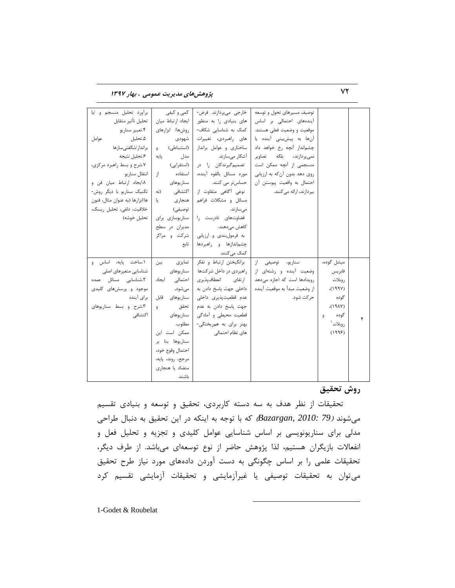72 **پژٍّصّای هذیزیت ػوَهی ، تْار 1397**

| برآورد تحليل منسجم و إيا        | کمی و کیفی         | خارجي ميپردازند. فرض-        | توصیف مسیرهای تحول و توسعه    |            |   |
|---------------------------------|--------------------|------------------------------|-------------------------------|------------|---|
| تحليل تأثير متقابل              | ايجاد ارتباط ميان  | های بنیادی را به منظور       | آیندههای احتمالی بر اساس      |            |   |
| ۴.تعبیر سناریو                  | روشها/ ابزارهای    | کمک به شناسایی شکاف-         | موقعیت و وضعیت فعلی هستند.    |            |   |
| ۵.تحلیل<br>عوامل                | شهودى              | های راهبردی، تغییرات         | آنها به پیشبینی آینده یا      |            |   |
| برانداز ⁄شگفتیسازها             | (استنباطی) و       | ساختاری و عوامل برانداز      | چشمانداز آنچه رخ خواهد داد    |            |   |
| ۶.تحليل نتيجه                   | یایه<br>مدل        | آشکار مے سازند.              | نمی پر دازند، بلکه تصاویر     |            |   |
| ۷.شرح و بسط راهبرد مرکزی،       | (استقرايي)         | تصمیم <i>گ</i> یرندکان را در | منسجمی از آنچه ممکن است       |            |   |
| انتقال سناريو                   | استفاده<br>از -    | مورد مسائل بالقوه آينده،     | روی دهد بدون آن که به ارزیابی |            |   |
| ٨.ايجاد ارتباط ميان فن و        | سناريوهاى          | حساس تر می کنند.             | احتمال به واقعيت پيوستن آن    |            |   |
| تکنیک سناریو با دیگر روش-       | اكتشافى<br>(نه     | نوعی آگاهی متفاوت از         | بیر دازند، ارائه می کنند.     |            |   |
| ها/ابزارها (به عنوان مثال، فنون | هنجاري<br>لى       | مسائل و مشکلات فراهم         |                               |            |   |
| خلاقیت، دلفی، تحلیل ریسک،       | توصيفي)            | مىسازند.                     |                               |            |   |
| تحليل خوشه)                     | سناریوسازی برای    | قضاوتهای نادرست را           |                               |            |   |
|                                 | مدیران در سطح      | کاهش مے دهند.                |                               |            |   |
|                                 | شرکت و مراکز       | به فرمول بندی و ارزیابی      |                               |            |   |
|                                 | تابع               | چشماندازها و راهبردها        |                               |            |   |
|                                 |                    | کمک مے کنند.                 |                               |            |   |
| ۰.ساخت پایه، اساس و             | تمایزی<br>بين      | برانگیختن ارتباط و تفکر      | سناریو، توصیفی از             | میشل گوده، |   |
| شناسایی متغیرهای اصلی           | سنار یوهای         | ر اهبردی در داخل شرکتها      | وضعیت آینده و رشتهای از       | فابر يس    |   |
| ٢.شناسايى مسائل عمده            | احتمالى ايجاد      | ارتقاي انعطاف يذيري          | رویدادها است که اجازه میدهد   | روبلات     |   |
| موجود و پرسشهای کلیدی           | ا مىشود,           | داخلی جهت پاسخ دادن به       | از وضعيت مبدأ به موقعيت آينده | (199Y)     |   |
| برای آینده                      | قابل<br>سنار یوهای | عدم قطعیتیذیری داخلی         | حر کت شود.                    | گوده       |   |
| ۰.۳شرح و بسط سناریوهای          | تحقق<br>9          | جهت پاسخ دادن به عدم         |                               | (19AY)     |   |
| اكتشافى                         | سنار یوهای         | قطعیت محیطی و آمادگی         |                               | گوده<br>9  | ۴ |
|                                 | مطلوب.             | بهتر برای به همریختگی-       |                               | روبلات ٰ   |   |
|                                 | ممکن است این       | های نظام احتمالی             |                               | (1995)     |   |
|                                 | سناریوها بنا بر    |                              |                               |            |   |
|                                 | احتمال وقوع خود،   |                              |                               |            |   |
|                                 | مرجع، روند، پایه،  |                              |                               |            |   |
|                                 | متضاد يا هنجارى    |                              |                               |            |   |
|                                 |                    |                              |                               |            |   |

**رٍش تحقیق**

تحقیقات از نظر هدف به سه دسته کاربردی، تحقیق و توسعه و بنیادی تقسیم هی شوند *(Bazargan, 2010: 79)* كه با توجه به اینكه در این تحقیق به دنبال طراحی مدلی برای سناریونویسی بر اساس شناسایی عوامل کلیدی و تجزیه و تحلیل فعل و انفعالات بازیگران هستیم، لذا پژوهش حاضر از نوع توسعهای میباشد. از طرف دیگر، تحقیقات علمی را بر اساس چگونگی به دست آوردن دادههای مورد نیاز طرح تحقیق میتوان به تحقیقات توصیفی یا غیرآزمایشی و تحقیقات آزمایشی تقسیم كرد

 $\overline{a}$ 

1-Godet & Roubelat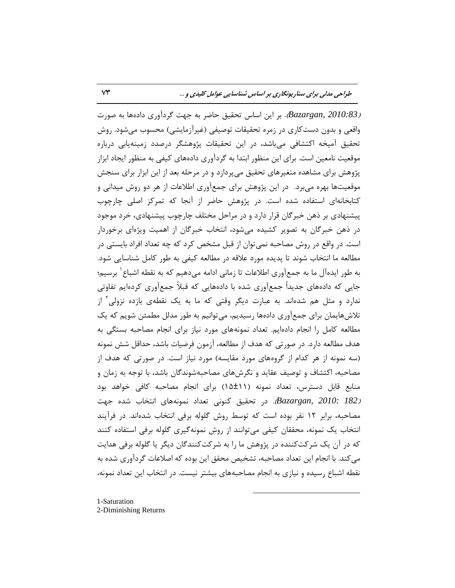)*2010:83 ,Bazargan*). ثط ایي اؾبؼ تحمیك حبيط ثِ خْت گطزآٍضی زازُّب ثِ نَضت واقعی و بدون دست کاری در زمره تحقیقات توصیفی (غیرآزمایشی) محسوب میشود. روش تحقیق آمیخه اکتشافی میباشد، در این تحقیقات پژوهشگر درصدد زمینهپایی درباره موقعیت نامعین است. برای این منظور ابتدا به گردآوری دادههای کیفی به منظور ایجاد ابزار پژوهش برای مشاهده متغیرهای تحقیق میپردازد و در مرحله بعد از این ابزار برای سنجش موقعیتها بهره می برد. در این پژوهش برای جمعآوری اطلاعات از هر دو روش میدانی و كتابخانهای استفاده شده است. در پژوهش حاضر از آنجا كه تمركز اصلی چارچوب پیشنهادی بر ذهن خبرگان قرار دارد و در مراحل مختلف چارچوب پیشنهادی، خرد موجود در ذهن خبرگان به تصویر کشیده می شود، انتخاب خبرگان از اهمیت ویژهای برخوردار است. در واقع در روش مصاحبه نمی توان از قبل مشخص كرد كه چه تعداد افراد بایستی در مطالعه ما انتخاب شوند تا پدیده مورد علاقه در مطالعه کیفی به طور کامل شناسایی شود. به طور ایدهآل ما به جمعآوری اطلاعات تا زمانی ادامه میدهیم که به نقطه اشباع ٰ برسیم؛ جایی که دادههای جدیداً جمعآوری شده با دادههایی که قبلاً جمعآوری کردهایم تفاوتی ندارد و مثل هم شدهاند. به عبارت دیگر وقتی که ما به یک نقطهی بازده نزولی<sup>۲</sup> از تلاش&ایمان برای جمعآوری دادهها رسیدیم، میتوانیم به طور مدلل مطمئن شویم که یک مطالعه کامل را انجام دادهایم. تعداد نمونههای مورد نیاز برای انجام مصاحبه بستگی به هدف مطالعه دارد. در صورتی که هدف از مطالعه، آزمون فرضیات باشد، حداقل شش نمونه (سه نمونه از هر کدام از گروههای مورد مقایسه) مورد نیاز است. در صورتی که هدف از مصاحبه، اکتشاف و توصیف عقاید و نگرشهای مصاحبهشوندگان باشد، با توجه به زمان و منابع قابل دسترس، تعداد نمونه (۱۱±۱۵) برای انجام مصاحبه کافی خواهد بود Bazargan, 2010: 182). در تحقیق كنونی تعداد نمونههای انتخاب شده جهت مصاحبه، برابر ۱۲ نفر بوده است که توسط روش گلوله برفی انتخاب شدهاند. در فرآیند انتخاب یک نمونه، محققان کیفی میتوانند از روش نمونهگیری گلوله برفی استفاده کنند که در آن یک شرکتکننده در پژوهش ما را به شرکتکنندگان دیگر یا گلوله برفی هدایت می كند. با انجام این تعداد مصاحبه، تشخیص محقق این بوده كه اصلاعات گردآوری شده به نقطه اشباع رسیده و نیازی به انجام مصاحبههای بیشتر نیست. در انتخاب این تعداد نمونه،

 $\overline{a}$ 

1-Saturation 2-Diminishing Returns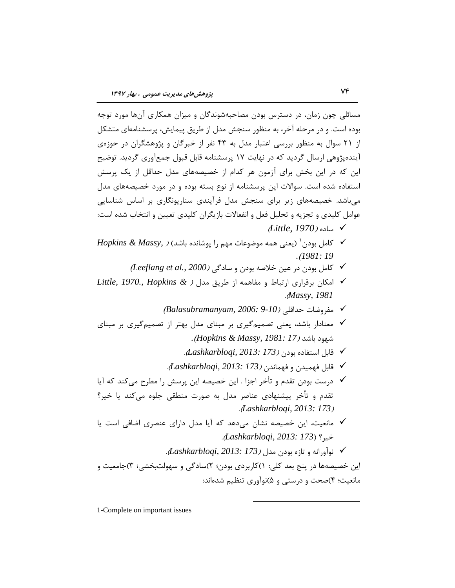مسائلی چون زمان، در دسترس بودن مصاحبهشوندگان و میزان همکاری آنها مورد توجِه بوده است. و در مرحله آخر، به منظور سنجش مدل از طریق پیمایش، پرسشنامهای متشكل از ٢١ سوال به منظور بررسی اعتبار مدل به ۴۳ نفر از خبرگان و پژوهشگران در حوزهى آیندهپژوهی ارسال گردید که در نهایت ۱۷ پرسشنامه قابل قبول جمعآوری گردید. توضیح این که در این بخش برای آزمون هر کدام از خصیصههای مدل حداقل از یک پرسش استفاده شده است. سوالات این پرسشنامه از نوع بسته بوده و در مورد خصیصههای مدل می باشد. خصیصههای زیر برای سنجش مدل فرآیندی سناریونگاری بر اساس شناسایی عوامل کلیدی و تجزیه و تحلیل فعل و انفعالات بازیگران کلیدی تعیین و انتخاب شده است: )*Little, 1970*( ُؾبز

- $\bm{H}$ opkins & Massy, ) کامل بودن ٔ (یعنی همه موضوعات مهم را پوشانده باشد) $\bm{\checkmark}$ *.*)*1981: 19*
	- وبهل ثَزى زض ػیي ذالنِ ثَزى ٍ ؾبزگی )*2000 .,al et Leeflang*)
- اهىبى ثطلطاضی اضتجبٌ ٍ هفبّوِ اظ َطیك هسل ) *& Hopkins 1970., ,Little* .)*Massy, 1981*
	- **⁄** مفروضات حداقلی (Balasubramanyam, 2006: 9-10*)*
- ∕ معنادار باشد، یعنی تصمیمگیری بر مبنای مدل بهتر از تصمیمگیری بر مبنای قَْز ثبقس )*17 1981: ,Massy & Hopkins*)*.*
	- لبثل اؾتفبزُ ثَزى )*173 2013: ,Lashkarbloqi*).
	- لبثل فْویسى ٍ فْوبًسى )*173 2013: ,Lashkarbloqi*).
- ن درست بودن تقدم و تأخر اجزا . این خصیصه این پرسش را مطرح می *ک*ند که آیا  $\checkmark$ تقدم و تأخر پیشنهادی عناصر مدل به صورت منطقی جلوه میکند یا خیر؟ .)*Lashkarbloqi, 2013: 173*(
- √ مانعیت، این خصیصه نشان میٍ دهد که آیا مدل دارای عنصری اضافی است یا ذیط؟ )*173 2013: ,Lashkarbloqi*).
	- ًَآٍضاًِ ٍ تبظُ ثَزى هسل )*173 2013: ,Lashkarbloqi*).

 $\overline{a}$ 

این خصیصهها در پنج بعد کلی: ١)کاربردی بودن؛ ٢)سادگی و سهولتبخشی؛ ٣)جامعیت و مانعیت؛ ۴)صحت و درستی و ۵)نوآوری تنظیم شدهاند:

1-Complete on important issues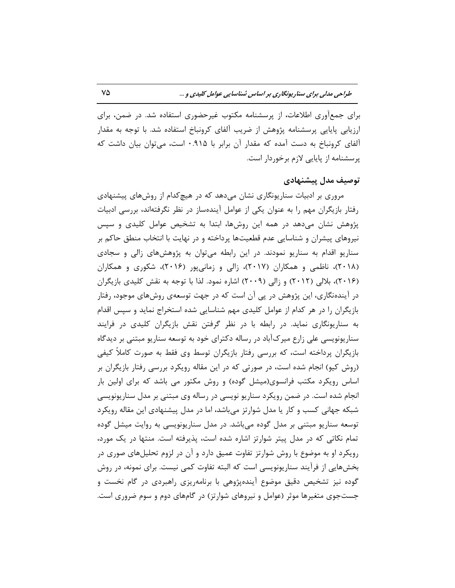برای جمعآوری اطلاعات، از پرسشنامه مكتوب غیرحضوری استفاده شد. در ضمن، برای ارزیابی پایایی پرسشنامه پژوهش از ضریب الفای کرونباخ استفاده شد. با توجه به مقدار آلفای کرونباخ به دست آمده که مقدار آن برابر با ۰.۹۱۵ است، می توان بیان داشت که پرسشنامه از پایایی لازم برخوردار است.

## **تَصیف هذل پیطٌْادی**

مروری بر ادبیات سناریونگاری نشان میدهد که در هیچکدام از روشهای پیشنهادی رفتار بازیگران مهم را به عنوان یکی از عوامل ایندهساز در نظر نگرفتهاند، بررسی ادبیات پژوهش نشان میدهد در همه این روشها، ابتدا به تشخیص عوامل کلیدی و سپس نیروهای پیشران و شناسایی عدم قطعیتها پرداخته و در نهایت با انتخاب منطق حاكم بر سناریو اقدام به سناریو نمودند. در این رابطه میتوان به پژوهشهای زالی و سجادی (۲۰۱۸)، ناظمی و همکاران (۲۰۱۷)، زالی و زمانیپور (۲۰۱۶)، شکوری و همکاران (۲۰۱۶)، بلالی (۲۰۱۲) و زالی (۲۰۰۹) اشاره نمود. لذا با توجه به نقش کلیدی بازیگران در آیندهنگاری، این پژوهش در پی آن است که در جهت توسعهی روشهای موجود، رفتار بازیگران را در هر کدام از عوامل کلیدی مهم شناسایی شده استخراج نماید و سپس اقدام به سناریونگاری نماید. در رابطه با در نظر گرفتن نقش بازیگران کلیدی در فرایند سناریونویسی علی زارع میرکآباد در رساله دکترای خود به توسعه سناریو مبتنی بر دیدگاه بازیگران پرداخته است، که بررسی رفتار بازیگران توسط وی فقط به صورت کاملاً کیفی (روش كيو) انجام شده است، در صورتی كه در این مقاله رویكرد بررسی رفتار بازیگران بر اساس رویكرد مكتب فرانسوی(میشل گوده) و روش مكتور می باشد كه برای اولین بار انجام شده است. در ضمن رویکرد سناریو نویسی در رساله وی مبتنی بر مدل سناریونویسی شبکه جهانی کسب و کار یا مدل شوارتز میباشد، اما در مدل پیشنهادی این مقاله رویکرد توسعه سناریو مبتنی بر مدل گوده میباشد. در مدل سناریونویسی به روایت میشل گوده تمام نکاتی که در مدل پیتر شوارتز اشاره شده است، پذیرفته است. منتها در یک مورد، رویکرد او به موضوع با روش شوارتز تفاوت عمیق دارد و آن در لزوم تحلیلهای صوری در بخشهایی از فرآیند سناریونویسی است که البته تفاوت کمی نیست. برای نمونه، در روش گوده نیز تشخیص دقیق موضوع آیندهپژوهی با برنامهریزی راهبردی در گام نخست و جستجوی متغیرها موثر (عوامل و نیروهای شوارتز) در گامهای دوم و سوم ضروری است.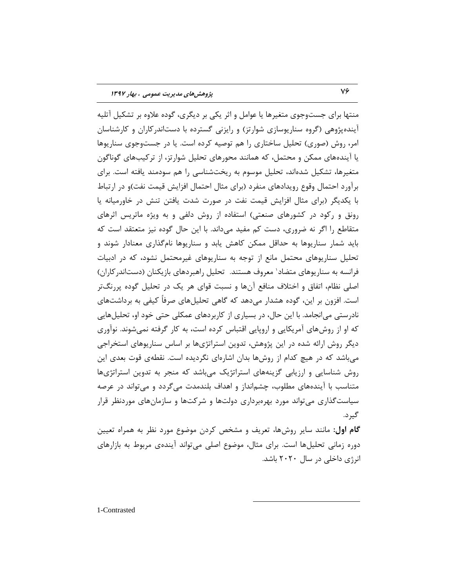منتها برای جستوجوی متغیرها یا عوامل و اثر یکی بر دیگری، گوده علاوه بر تشکیل آتلیه آیندهپژوهی (گروه سناریوسازی شوارتز) و رایزنی گسترده با دستاندرکاران و کارشناسان امر، روش (صوری) تحلیل ساختاری را هم توصیه کرده است. یا در جستوجوی سناریوها یا آیندههای ممکن و محتمل، که همانند محورهای تحلیل شوارتز، از ترکیبهای گوناگون متغیرها، تشكیل شدهاند، تحلیل موسوم به ریختشناسی را هم سودمند یافته است. برای برآورد احتمال وقوع رویدادهای منفرد (برای مثال احتمال افزایش قیمت نفت)و در ارتباط با یکدیگر (برای مثال افزایش قیمت نفت در صورت شدت یافتن تنش در خاورمیانه یا رونق و ركود در كشورهای صنعتی) استفاده از روش دلفی و به ویژه ماتریس اثرهای متقاطع را اگر نه ضروری، دست کم مفید میداند. با این حال گوده نیز متعتقد است که باید شمار سناریوها به حداقل ممکن کاهش یابد و سناریوها نامگذاری معنادار شوند و تحلیل سناریوهای محتمل مانع از توجه به سناریوهای غیرمحتمل نشود، که در ادبیات فرانسه به سناریوهای متضاد` معروف هستند. تحلیل راهبردهای بازیکنان (دستاندرکاران) اصلی نظام، اتفاق و اختلاف منافع آنها و نسبت قوای هر یک در تحلیل گوده پررنگتر است. افزون بر این، گوده هشدار میدهد که گاهی تحلیلهای صرفاً کیفی به برداشتهای نادرستی می|نجامد. با این حال، در بسیاری از کاربردهای عمکلی حتی خود او، تحلیل هایی که او از روشهاى آمریکایی و اروپایی اقتباس کرده است، به کار گرفته نمیشوند. نوآوری دیگر روش ارائه شده در این پژوهش، تدوین استراتژیها بر اساس سناریوهای استخراجی می باشد که در هیچ کدام از روشها بدان اشارهای نگردیده است. نقطهی قوت بعدی این روش شناسایی و ارزیابی گزینههای استراتژیک می باشد که منجر به تدوین استراتژیها متناسب با آیندههای مطلوب، چشمانداز و اهداف بلندمدت میگردد و میتواند در عرصه سیاست گذاری می تواند مورد بهرەبرداری دولتّها و شرکتها و سازمانهای موردنظر قرار گیر د.

**گام اول:** مانند سایر روشها، تعریف و مشخص کردن موضوع مورد نظر به همراه تعیین دوره زمانی تحلیلها است. برای مثال، موضوع اصلی می تواند آیندهی مربوط به بازارهای انرژی داخلی در سال ۲۰۲۰ باشد.

 $\overline{a}$ 

1-Contrasted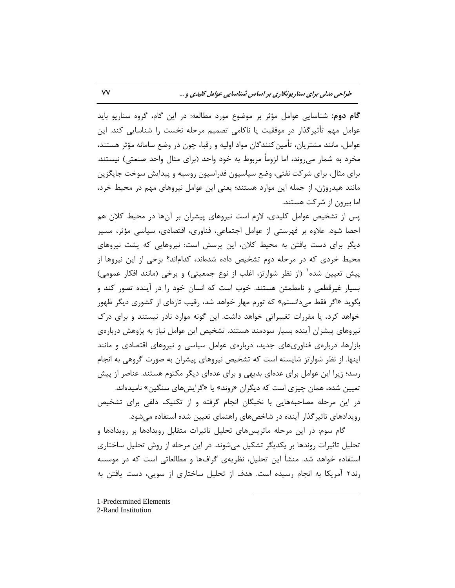**گام دوم:** شناسایی عوامل مؤثر بر موضوع مورد مطالعه: در این گام، گروه سناریو باید عوامل مهم تأثیرگذار در موفقیت یا ناکامی تصمیم مرحله نخست را شناسایی کند. این عوامل، مانند مشتریان، تأمین کنندگان مواد اولیه و رقبا، چون در وضع سامانه مؤثر هستند، مخرد به شمار می روند، اما لزوماً مربوط به خود واحد (برای مثال واحد صنعتی) نیستند. برای مثال، برای شرکت نفتی، وضع سیاسیون فدراسیون روسیه و پیدایش سوخت جایگزین مانند هیدروژن، از جمله این موارد هستند؛ یعنی این عوامل نیروهای مهم در محیط خرد، اما بیرون از شرکت هستند.

پس از تشخیص عوامل کلیدی، لازم است نیروهای پیشران بر آنها در محیط کلان هم احصا شود. علاوه بر فهرستی از عوامل اجتماعی، فناوری، اقتصادی، سیاسی مؤثر، مسیر دیگر برای دست یافتن به محیط کلان، این پرسش است: نیروهایی که پشت نیروهای محیط خردی که در مرحله دوم تشخیص داده شدهاند، کداماند؟ برخی از این نیروها از پیش تعیین شده <sup>۱</sup> (از نظر شوارتز، اغلب از نوع جمعیتی) و برخی (مانند افکار عمومی) بسیار غیرقطعی و نامطمئن هستند. خوب است که انسان خود را در آینده تصور کند و بگوید «اگر فقط میِ دانستم» که تورم مهار خواهد شد، رقیب تازهای از کشوری دیگر ظهور خَواهد کرد، یا مقررات تغییراتی خواهد داشت. این گونه موارد نادر نیستند و برای درک نیروهای پیشران آینده بسیار سودمند هستند. تشخیص این عوامل نیاز به پژوهش دربارهی بازارها، دربارهی فناوریهای جدید، دربارهی عوامل سیاسی و نیروهای اقتصادی و مانند اینها. از نظر شوارتز شایسته است كه تشخیص نیروهاى پیشران به صورت گروهی به انجام رسد؛ زیرا این عوامل برای عدهای بدیهی و برای عدهای دیگر مکتوم هستند. عناصر از پیش تعیین شده، همان چیزی است که دیگران «روند» یا «گرایشهای سنگین» نامیدهاند. در این مرحله مصاحبههایی با نخبگان انجام گرفته و از تكنیک دلفی برای تشخیص رویدادهای تاثیر گذار آینده در شاخص های راهنمای تعیین شده استفاده می شود.

گام سوم: در این مرحله ماتریس های تحلیل تاثیرات متقابل رویدادها و ویدادها و تحلیل تاثیرات روندها بر یكدیگر تشكیل میشوند. در این مرحله از روش تحلیل ساختاری استفاده خواهد شد. منشأ این تحلیل، نظریهی گرافها و مطالعاتی است که در موسسه رند٢ آمریکا به انجام رسیده است. هدف از تحلیل ساختاری از سویی، دست یافتن به

- 1-Predermined Elements
- 2-Rand Institution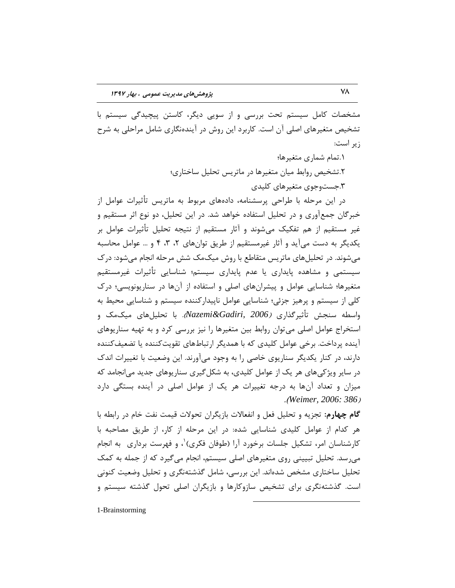مشخصات کامل سیستم تحت بررسی و از سویی دیگر، کاستن پیچیدگی سیستم با تشخیص متغیرهای اصلی آن است. کاربرد این روش در آیندهنگاری شامل مراحلی به شرح زیر است:

> .1توبم قوبضی هتغیطّب؛ .2تشخیص روابط میان متغیرها در ماتریس تحلیل ساختاری؛ ۰.جستوجوی متغیرهای کلیدی

در این مرحله با طراحی پرسشنامه، دادههای مربوط به ماتریس تأثیرات عوامل از خبرگان جمعآوری و در تحلیل استفاده خواهد شد. در این تحلیل، دو نوع اثر مستقیم و غیر مستقیم از هم تفکیک میشوند و آثار مستقیم از نتیجه تحلیل تأثیرات عوامل بر یکدیگر به دست میآید و آثار غیرمستقیم از طریق توانهای ۲، ۳، ۴ و … عوامل محاسبه می شوند. در تحلیل های ماتریس متقاطع با روش میک مک شش مرحله انجام می شود: در ک سیستمی و مشاهده پایداری یا عدم پایداری سیستم؛ شناسایی تأثیرات غیرمستقیم متغیرها؛ شناسایی عوامل و پیشرانهای اصلی و استفاده از آنها در سناریونویسی؛ درک کلی از سیستم و پرهیز جزئی؛ شناسایی عوامل ناپیدارکننده سیستم و شناسایی محیط به واسطه سنجش تأثیرگذاری *(Nazemi&Gadiri, 2006).* با تحلیلهای میکمک و استخراج عوامل اصلی می توان روابط بین متغیرها را نیز بررسی کرد و به تهیه سناریوهای آینده پرداخت. برخی عوامل کلیدی که با همدیگر ارتباطهای تقویتکننده یا تضعیفکننده دارند، در کنار یکدیگر سناریوی خاصی را به وجود میآورند. این وضعیت با تغییرات اندک در سایر ویژکی های هر یک از عوامل کلیدی، به شکل گیری سناریوهای جدید می انجامد که میزان و تعداد آنها به درجِه تغییرات هر یک از عوامل اصلی در آینده بستگی دارد .)*Weimer, 2006: 386*(

**گام چهارم:** تجزیه و تحلیل فعل و انفعالات بازیگران تحولات قیمت نفت خام در رابطه با هر كدام از عوامل كلیدی شناسایی شده: در این مرحله از كار، از طریق مصاحبه با كارشناسان امر، تشكيل جلسات برخورد آرا (طوفان فكرى) ٰ، و فهرست بردارى ۖ به انجام میرسد. تحلیل تبیینی روی متغیرهای اصلی سیستم، انجام میگیرد که از جمله به کمک تحلیل ساختاری مشخص شدهاند. این بررسی، شامل گذشتهنگری و تحلیل وضعیت كنونی است. گذشتهنگری برای تشخیص سازوکارها و بازیگران اصلی تحول گذشته سیستم و

 $\overline{a}$ 

1-Brainstorming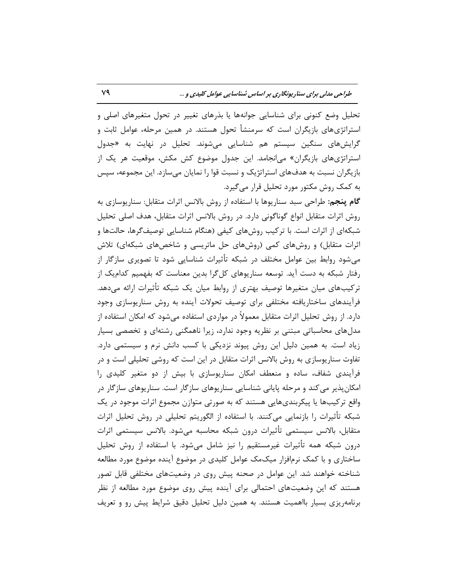تحلیل وضع کنونی برای شناسایی جوانهها یا بذرهای تغییر در تحول متغیرهای اصلی و استراتژیهای بازیگران است که سرمنشأ تحول هستند. در همین مرحله، عوامل ثابت و گرایشهای سنگین سیستم هم شناسایی میشوند. تحلیل در نهایت به «جدول استراتژیهای بازیگران» میانجامد. این جدول موضوع کش مکش، موقعیت هر یک از بازیگران نسبت به هدفهاى استراتژیک و نسبت قوا را نمایان میسازد. این مجموعه، سپس به کمک روش مکتور مورد تحلیل قرار میگیرد.

**گام پنجم:** طراحی سبد سناریوها با استفاده از روش بالانس اثرات متقابل: سناریوسازی به روش اثرات متقابل انواع گوناگونی دارد. در روش بالانس اثرات متقابل، هدف اصلی تحلیل شبکهای از اثرات است. با ترکیب روشهای کیفی (هنگام شناسایی توصیفگرها، حالتها و اثرات متقابل) و روشهای کمی (روشهای حل ماتریسی و شاخصهای شبکهای) تلاش می شود روابط بین عوامل مختلف در شبکه تأثیرات شناسایی شود تا تصویری سازگار از رفتار شبکه به دست آید. توسعه سناریوهای کلگرا بدین معناست که بفهمیم کدامیک از ترکیبهای میان متغیرها توصیف بهتری از روابط میان یک شبکه تأثیرات ارائه میدهد. فرآیندهای ساختاریافته مختلفی برای توصیف تحولات آینده به روش سناریوسازی وجود دارد. از روش تحلیل اثرات متقابل معمولاً در مواردی استفاده می شود که امکان استفاده از مدلهای محاسباتی مبتنی بر نظریه وجود ندارد، زیرا ناهمگنی رشتهای و تخصصی بسیار زیاد است. به همین دلیل این روش پیوند نزدیکی با کسب دانش نرم و سیستمی دارد. تفاوت سناریوسازی به روش بالانس اثرات متقابل در این است که روشی تحلیلی است و در فرآیندی شفاف، ساده و منعطف امکان سناریوسازی با بیش از دو متغیر کلیدی را امکان پذیر می کند و مرحله پایانی شناسایی سناریوهای سازگار است. سناریوهای سازگار در واقع ترکیبها یا پیکربندیهایی هستند که به صورتی متوازن مجموع اثرات موجود در یک شبکه تأثیرات را بازنمایی میکنند. با استفاده از الگوریتم تحلیلی ترات شرات متقابل، بالانس سیستمی تأثیرات درون شبکه محاسبه میشود. بالانس سیستمی اثرات درون شبکه همه تأثیرات غیرمستقیم را نیز شامل میشود. با استفاده از روش تحلیل ساختاری و با کمک نرمافزار میکمک عوامل کلیدی در موضوع آینده موضوع مورد مطالعه شناخته خواهند شد. این عوامل در صحنه پیش روی در وضعیتهای مختلفی قابل تصور هستند که این وضعیتهای احتمالی برای آینده پیش روی موضوع مورد مطالعه از نظر برنامهریزی بسیار بااهمیت هستند. به همین دلیل تحلیل دقیق شرایط پیش رو و تعریف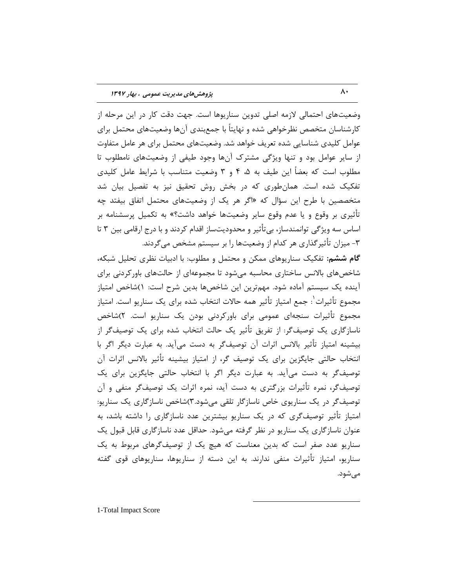وضعیتهای احتمالی لازمه اصلی تدوین سناریوها است. جهت دقت کار در این مرحله از کارشناسان متخصص نظرخواهی شده و نهایتاً با جمعبندی آنها وضعیتهای محتمل برای عوامل کلیدی شناسایی شده تعریف خواهد شد. وضعیتهای محتمل برای هر عامل متفاوت از سایر عوامل بود و تنها ویژگی مشترک آنها وجود طیفی از وضعیتهای نامطلوب تا مطلوب است که بعضاً این طیف به ۵، ۴ و ۳ وضعیت متناسب با شرایط عامل کلیدی تفکیک شده است. همانطوری که در بخش روش تحقیق نیز به تفصیل بیان شد متخصصین با طرح این سؤال که «اگر هر یک از وضعیتهای محتمل اتفاق بیفتد چِه تأثیری بر وقوع و یا عدم وقوع سایر وضعیتها خواهد داشت؟» به تکمیل پرسشنامه بر اساس سه ویژگی توانمندساز، بیتأثیر و محدودیتساز اقدام کردند و با درج ارقامی بین ۳ تا ۳- میزان تأثیرگذاری هر کدام از وضعیتها را بر سیستم مش*خص* م*ی گ*ردند.

گام ششم: تفکیک سنا<sub>د</sub>یوهای ممکن و محتمل و مطلوب: با ادبیات نظری تحلیل شبکه، شاخصهای بالانس ساختاری محاسبه میشود تا مجموعهای از حالتهای باورکردنی برای آینده یک سیستم آماده شود. مهمترین این شاخصها بدین شرح است: ۱)شاخص امتیاز مجموع تأثیرات ٰ: جمع امتیاز تأثیر همه حالات انتخاب شده برای یک سناریو است. امتیاز مجموع تأثیرات سنجهای عمومی برای باورکردنی بودن یک سناریو است. ۲)شاخص ناسازگاری یک توصیفگر: از تفریق تأثیر یک حالت انتخاب شده برای یک توصیفگر از بیشینه امتیاز تأثیر بالانس اثرات آن توصیفگر به دست میآید. به عبارت دیگر اگر با انتخاب حالتی جایگزین برای یک توصیف گر، از امتیاز بیشینه تأثیر بالانس اثرات آن توصیفگر به دست میآید. به عبارت دیگر اگر با انتخاب حالتی جایگزین برای یک توصیفگر، نمره تأثیرات بزرگتری به دست آید، نمره اثرات یک توصیفگر منفی و آن توصیفگر در یک سناریوی خاص ناسازگار تلقی میشود.۳)شاخص ناسازگاری یک سناریو: امتیاز تأثیر توصیفگری که در یک سناریو بیشترین عدد ناسازگاری را داشته باشد، به عنوان ناسازگاری یک سناریو در نظر گرفته میشود. حداقل عدد ناسازگاری قابل قبول یک سناریو عدد صفر است که بدین معناست که هیچ یک از توصیفگرهای مربوط به یک سناریو، امتیاز تأثیرات منفی ندارند. بِه این دسته از سناریوها، سناریوهای قوی گفته میشود.

 $\overline{a}$ 

1-Total Impact Score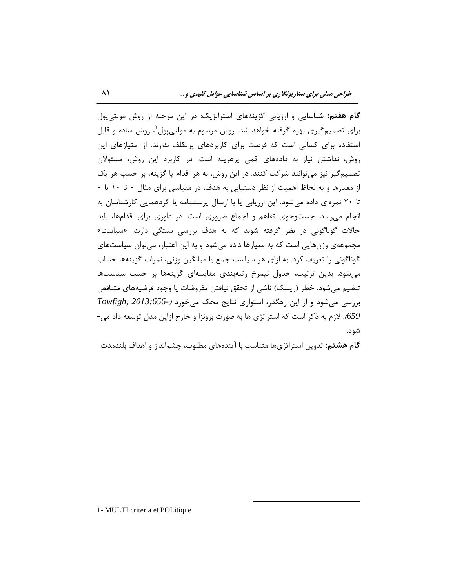گام هفتم: شناسایی و ارزیابی گزینههای استراتژیک: در این مرحله از روش مولتیپول برای تصمیمگیری بهره گرفته خواهد شد. روش مرسوم به مولتیپول`، روش ساده و قابل استفاده برای کسانی است که فرصت برای کاربردهای پرتکلف ندارند. از امتیازهای این روش، نداشتن نیاز به دادههای کمی پرهزینه است. در کاربرد این روش، مسئولان تصمیم گیر نیز میتوانند شرکت کنند. در این روش، به هر اقدام یا گزینه، بر حسب هر یک از معیارها و به لحاظ اهمیت از نظر دستیابی به هدف، در مقیاسی برای مثال ۰ تا ۱۰ یا ۰ تا ٢٠ نمرهای داده میشود. این ارزیابی یا با ارسال پرسشنامه یا گردهمایی کارشناسان به انجام می رسد. جست وجوی تفاهم و اجماع ضروری است. در داوری برای اقدامها، باید حالات گوناگونی در نظر گرفته شوند که به هدف بررسی بستگی دارند. «سیاست» مجموعهی وزنهایی است که به معیارها داده میشود و به این اعتبار، میتوان سیاستهای گوناگونی را تعریف کرد. به ازای هر سیاست جمع یا میانگین وزنی، نمرات گزینهها حساب می شود. بدین ترتیب، جدول نیمرخ رتبهبندی مقایسهای گزینهها بر حسب سیاستها تنظیم می شود. خطر (ریسک) ناشی از تحقق نیافتن مفروضات یا وجود فرضیههای متناقض ثطضؾی هیقَز ٍ اظ ایي ضّگصض، اؾتَاضی ًتبیح هحه هیذَضز )*2013:656- ,Towfigh 659).* لازم بِه ذِکر است که استراتژی ها بِه صورت برونزا و خارج ازاین مدل توسعه داد می-شود.

**گام هشتم:** تدوین استراتژیها متناسب با آیندههای مطلوب، چشمانداز و اهداف بلندمدت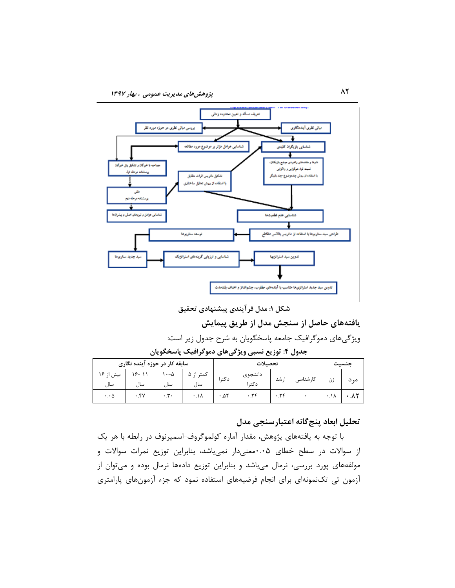

**ضکل :1 هذل فزآیٌذی پیطٌْادی تحقیق**

# **یافتِّای حاصل اس سٌجص هذل اس طزیق پیوایص**

ویژگیهای دموگرافیک جامعه پاسخگویان به شرح جدول زیر است:

**جذٍل :4 تَسیغ ًسثی ٍیژگیّای دهَگزافیک پاسخگَیاى**

|                      | سابقه کار در حوزه آینده نگاری |                           |                      |       | تحصىلات          |     |          |      | منسىت   |
|----------------------|-------------------------------|---------------------------|----------------------|-------|------------------|-----|----------|------|---------|
| بیش از ۱۶<br>سال     | $19 - 11$<br>ساا              | $\cdot$ - $\Delta$<br>سال | کمتر از ۵<br>سال     | دکت ا | دانشجوى<br>دکت ا | شد  | كارشناسى | زن   | مہ<br>د |
| $\cdot \cdot \Delta$ | .54                           | $\cdot$ . $\mathbf{r}$ .  | $\cdot \cdot \wedge$ | .25   | ۰.۲۴             | .75 |          | ۰٬۱۸ |         |

# تحلیل ابعاد پنج *گ*انه اعتبارسنجی مدل

با توجه به یافتههای پژوهش، مقدار آماره کولموگروف-اسمیرنوف در رابطه با هر یک از سوالات در سطح خطای ۰.۰۵هغیدار نمیباشد، بنابراین توزیع نمرات سوالات و مولفههای پورد بررسی، نرمال میباشد و بنابراین توزیع دادهها نرمال بوده و میتوان از آزمون تی تکنمونهای برای انجام فرضیههای استفاده نمود که جزء آزمونِهای پارامتری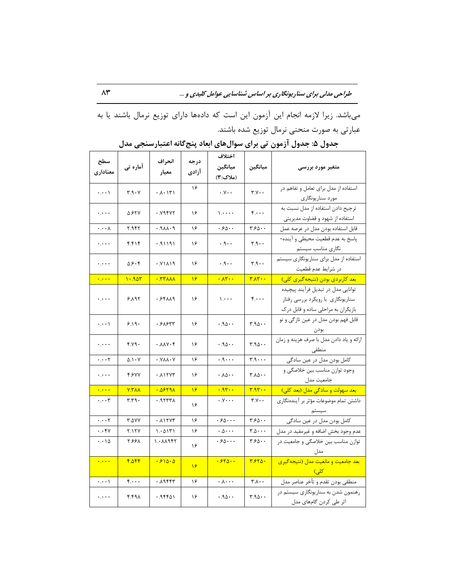میباشد. زیرا لازمه انجام این آزمون این است که دادهها دارای توزیع نرمال باشند یا به عبارتی به صورت منحنی نرمال توزیع شده باشند.

| سطح<br>معناداري             | آمارہ تی      | انحراف<br>معيار | درجه<br>ازادي | اختلاف<br>ميانگين<br>(ملاک:۳)          | ميانگين                                            | متغیر مورد بررسی                                                                                              |
|-----------------------------|---------------|-----------------|---------------|----------------------------------------|----------------------------------------------------|---------------------------------------------------------------------------------------------------------------|
| $\cdots$                    | ۳.۹۰۷         | ۰۸۰۱۳۱          | ۱۶            | $\cdot y \cdot \cdot$                  | $Y.Y \cdot \cdot$                                  | استفاده از مدل برای تعامل و تفاهم در<br>مورد سناريونگاري                                                      |
| ولاوره                      | 5.627         | ۰.۷۹۴۷۲         | ۱۶            | $\mathcal{L}$                          | $\mathfrak{f}\cdots$                               | ترجيح دادن استفاده از مدل نسبت به<br>استفاده از شهود و قضاوت مديريتي                                          |
| $\cdots$                    | ۲.۹۴۲         | ۰.۹۸۸۰۹         | ۱۶            | ۰۶۵۰۰                                  | ۳۶۵۰۰                                              | قابل استفاده بودن مدل در عرصه عمل                                                                             |
| لمحترم                      | ۴.۴۱۴         | ۱۹۱۱۹۱.         | ۱۶            | $\cdot \cdot \mathsf{A} \cdot \cdot$   | r.9                                                | پاسخ به عدم قطعیت محیطی و آینده-<br>نگاري مناسب سيستم                                                         |
| لمحرك                       | 0.9.9         | ۰.۷۱۸۱۹         | ۱۶            | $\cdot \cdot \rho \cdot \cdot$         | r.9.4                                              | استفاده از مدل برای سناریونگاری سیستم<br>در شرايط عدم قطعيت                                                   |
| $\ddotsc$                   | 1.907         | <b>.</b>        | $\mathcal{A}$ | $\cdot \lambda \mathsf{r} \cdot \cdot$ | $\mathbf{r} \wedge \mathbf{r} \cdots$              | بعد كاربردي بودن (نتيجه گيري كلي)                                                                             |
| معبره                       | ۶.۸۹۲         | ۰٬۶۴۸۸۹         | ۱۶            | $\mathcal{L}$                          | $f \cdot \cdot \cdot$                              | توانایی مدل در تبدیل فرآیند پیچیده<br>سناریونگاری با رویکرد بررسی رفتار<br>بازیگران به مراحلی ساده و قابل درک |
| $\cdot$ . $\cdot$ \         | 8.19.         | ۶۸۶۳۳.          | ۱۶            | .90.                                   | $4.90 -$                                           | قابل فهم بودن مدل در عين تازگي و نو<br>بودن                                                                   |
| بالمرب                      | 4.79.         | ۰.۸۸۷۰۴         | ۱۶            | .90.                                   | $r.a \wedge \cdot$                                 | ارائه و ياد دادن مدل با صرف هزينه و زمان<br>منطقى                                                             |
| $\cdots$                    | $0.1 - V$     | · . Y A A · Y   | ۱۶            | $\cdot$ . $\cdot$ .                    | ۰۰۰. م                                             | ۔<br>کامل بودن مدل در عین سادگی                                                                               |
| معاوية                      | 4.677         | ۰ ۸۱۲۷۳         | ۱۶            | ۰.۸۵۰۰                                 | ۰ ۸۵۰۰                                             | وجود توازن مناسب بين خلاصگي و<br>جامعيت مدل                                                                   |
| $\ddotsc$                   | $VY\Lambda$   |                 | ۱۶            | .95.                                   | $\mathbf{r}.\mathbf{a}\mathbf{r} \cdot \mathbf{a}$ | بعد سهولت و سادگی مدل (بعد کلی)                                                                               |
| $\cdots$ ۳                  | ۳.۳۹۰         | ۱۹۲۳۳۸.         | ۱۶            | $\cdot y \cdots$                       | $Y.Y \cdot \cdot$                                  | داشتن تمام موضوعات مؤثر بر آیندهنگاری<br>سيستم المستند                                                        |
| $\cdots$                    | <b>۳.۵۷۷</b>  | ۰.۸۱۲۷۳         | ۱۶            | .50                                    | ۳۶۵۰۰                                              | کامل بودن مدل در عین سادگی                                                                                    |
| $\cdot \cdot$ ۴۷            | <b>7.1 TY</b> | ۱.۰۵۱۳۱         | ۱۶            | $\cdot \Delta \cdot \cdot \cdot$       | $r \Delta \cdot \cdot \cdot$                       | عدم وجود بخش اضافه و غیرمفید در مدل                                                                           |
| $\cdots$ 15                 | ۲.۶۶۸         | ۱.۰۸۸۹۴۲        | ۱۶            | .66                                    | ۳۶۵۰۰                                              | توازن مناسب بین خلاصگی و جامعیت در<br>مدل                                                                     |
| $\cdot$ , $\cdot$ , $\cdot$ | 4.044         | .510.0          | $\sqrt{2}$    | .550                                   | 7.570.                                             | بعد جامعیت و مانعیت مدل (نتیجهگیری<br>ا کلی)<br>ا                                                             |
| $\cdots$                    | ۴.۰۰۰         | ۰.۸۹۴۴۳         | ۱۶            | $\cdot \ldots$                         | ۰ ۸۰ ۳                                             | منطقي بودن تقدم و تأخر عناصر مدل                                                                              |
| $\ddotsc$                   | ۴.۴۹۸         | ۰.۹۴۴۵۱         | ۱۶            | .40.4                                  | ۰ ۱۵۵۰.۳                                           | رهنمون شدن به سناریونگاری سیستم در<br>اثر طی کردن گامهای مدل                                                  |

جدول ۵: جدول آزمون تی برای سوالهای ابعاد پنجگانه اعتبارسنجی مدل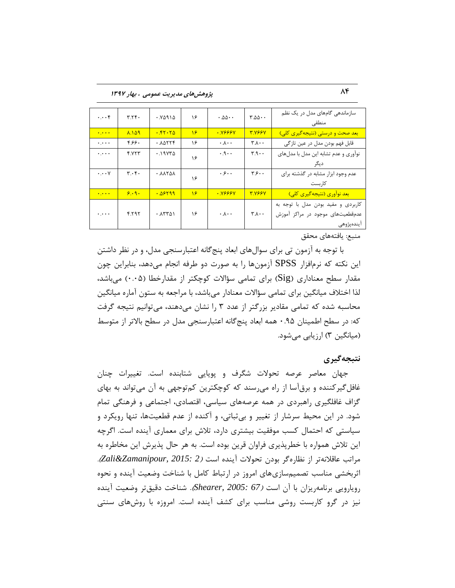84 **پژٍّصّای هذیزیت ػوَهی ، تْار 1397**

| $\cdots$ ۴                        | T.7f.                         | ۲۵۹۱۵ ۰         | ۱۶         | $\cdot$ . $\Delta \Delta \cdot \cdot$ | $\mathbf{r} \Delta \Delta \cdot \cdot$ | سازماندهی گامهای مدل در یک نظم<br>منطقى                                              |
|-----------------------------------|-------------------------------|-----------------|------------|---------------------------------------|----------------------------------------|--------------------------------------------------------------------------------------|
| $\bullet$ , $\bullet$ , $\bullet$ | <b>A.149</b>                  | .57.70          | $\sqrt{2}$ | $\cdot$ YSSSY                         | <b>TYSSY</b>                           | بعد صحت و درستی (نتیجهگیری کلی)                                                      |
| $\ddotsc$                         | ۴۶۶۰                          | $. A\Delta YYf$ | ۱۶         | $\cdot \Lambda \cdot \cdot$           | $\mathbf{r} \cdot \mathbf{r}$          | قابل فهم بودن مدل در عين تازگي                                                       |
| معارف                             | 4.723                         | ۱۹۷۳۵.          | ۱۶         | $\cdot$ . $\cdot$                     | T.9                                    | نوآوری و عدم تشابه این مدل با مدلهای<br>ديگر                                         |
| $\cdot \cdot \cdot \vee$          | $\mathbf{r} \cdot \mathbf{r}$ | . YYZYY         | ۱۶         | . ۶۰۰                                 | $\mathbf{y}$                           | عدم وجود ابزار مشابه در گذشته برای<br>کا, ىست                                        |
| $\bullet$ , $\bullet$ , $\bullet$ | 9.9.                          | .05199          | 18         | $\cdot$ YSSSY                         | <b>TYSSY</b>                           | <mark>بعد نوآوری (نتیجه گیری کلی)</mark>                                             |
| $\ddotsc$                         | 6.595                         | .15701          | ۱۶         | $\cdot \Lambda \cdot \cdot$           | $\mathbf{r} \wedge \cdot \cdot$        | کاربردی و مفید بودن مدل با توجه به<br>عدمقطعیتهای موجود در مراکز آموزش<br>ايندەپژوھى |

منبع: یافتههای محقق

با توجه به آزمون تی برای سوالهای ابعاد پنجِ گانه اعتبارسنجی مدل، و در نظر داشتن این نكته كه نرِمافزار SPSS آزمونِها را به صورت دو طرفه انجام میدهد، بنابراین چون مقدار سطح معناداری (Sig) برای تمامی سؤالات کوچکتر از مقدارخطا (۰.۰۵) می باشد، لذا اختلاف میانگین برای تمامی سؤالات معنادار میباشد، با مراجعه به ستون آماره میانگین محاسبه شده که تمامی مقادیر بزرگتر از عدد ۳ را نشان میدهند، میتوانیم نتیجه گرفت که: در سطح اطمینان ۹۵.۰ همه ابعاد پنج گانه اعتبارسنجی مدل در سطح بالاتر از متوسط (میانگین ۳) ارزیابی می شود.

## **ًتثجِگیزی**

جهان معاصر عرصه تحولات شگرف و پویایی شتابنده است. تغییرات چنان غافل گیر کننده و برقآسا از راه می رسند که کوچکترین کمتوجهی به آن می تواند به بهای گزاف غافلگیری راهبردی در همه عرصههای سیاسی، اقتصادی، اجتماعی و فرهنگی تمام شود. در این محیط سرشار از تغییر و بی ثباتی، و آکنده از عدم قطعیتها، تنها رویکرد و سیاستی كه احتمال كسب موفقیت بیشتری دارد، تلاش برای معماری آینده است. اگرچِه این تلاش همواره با خطرپذیری فراوان قرین بوده است. به هر حال پذیرش این مخاطره به هطاتت ػبلالًِتط اظ ًظبضُگط ثَزى تحَالت آیٌسُ اؾت )*2 2015: ,Zamanipour&Zali*). اثربخشی مناسب تصمیمسازی های امروز در ارتباط کامل با شناخت وضعیت آینده و نحوه رویارویی برنامهریزان با آن است *(67 :Shearer, 2005: 67*). شناخت دقیق تر وضعیت آینده نیز در گرو کاربست روشی مناسب برای کشف آینده است. امروزه با روش های سنتی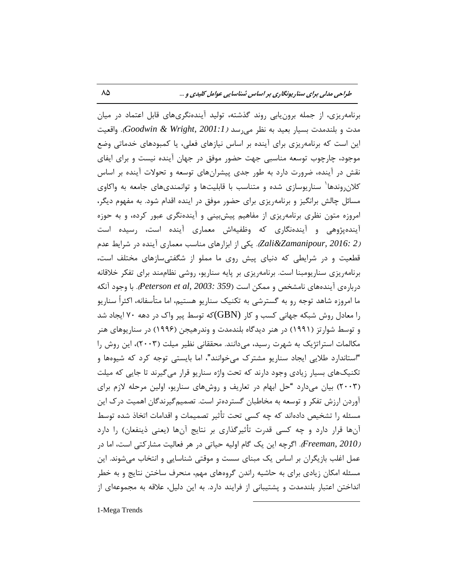برنامهِریزی، از جمله برونِ یابی روند گذشته، تولید آیندهنگریهای قابل اعتماد در میان هدت و بلندمدت بسیار بعید به نظر م<sub>یر</sub>سد *(Goodwin & Wright, 2001:1).* واقعیت این است که برنامهِ ریزی برای آینده بر اساس نیازهای فعلی، یا کمبودهای خدماتی وضع موجود، چارچوب توسعه مناسبی جهت حضور موفق در جهان آینده نیست و برای ایفای نقش در آینده، ضرورت دارد به طور جدی پیشرانهای توسعه و تحولات آینده بر اساس کلان روندها<sup>٬</sup> سناریوسازی شده و متناسب با قابلیتها و توانمندیهای جامعه به واکاوی مسائل چالش برانگیز و برنامهریزی برای حضور موفق در اینده اقدام شود. به مفهوم دیگر، امروزه متون نظری برنامهریزی از مفاهیم پیشبینی و آیندهنگری عبور کرده، و به حوزه آیندهپژوهی و آیندهنگاری که وظفیهاش معماری آینده است، رسیده است )*2 2016: ,Zamanipour&Zali*). یىی اظ اثعاضّبی هٌبؾت هؼوبضی آیٌسُ زض قطایٍ ػسم قطعیت و در شرایطی که دنیای پیش روی ما مملو از شگفتیسازهای مختلف است، برنامهریزی سناریومبنا است. برنامهریزی بر پایه سناریو، روشی نظاممند برای تفکر خلاقانه زضثبضُی آیٌسُّبی ًبهكرم ٍ هوىي اؾت )*359 2003: ,al et Peterson*). ثب ٍخَز آًىِ ما امروزه شاهد توجه رو به گسترشی به تکنیک سناریو هستیم، اما متأسفانه، اکثراً سناریو را معادل روش شبکه جهانی کسب و کار  ${\rm (GBN)}$ که توسط پیر واک در دهه ۷۰ ایجاد شد و توسط شوارتز (۱۹۹۱) در هنر دیدگاه بلندمدت و وندرهیجن (۱۹۹۶) در سناریوهای هنر مکالمات استراتژیک به شهرت رسید، می $\mathfrak{sl}$ نند. محققانی نظیر میلت (۲۰۰۳)، این روش را "استاندارد طلایی ایجاد سناریو مشترک می خوانند"، اما بایستی توجه کرد که شیوهها و تکنیکهای بسیار زیادی وجود دارند که تحت واژه سناریو قرار میگیرند تا جایی که میلت (۲۰۰۳) بیان میدارد "حل ابهام در تعاریف و روشهای سناریو، اولین مرحله لازم برای آوردن ارزش تفكر و توسعه به مخاطبان گستردهتر است. تصمیمگیرندگان اهمیت درک این مسئله را تشخیص دادهاند که چه کسی تحت تأثیر تصمیمات و اقدامات اتخاذ شده توسط آنها قرار دارد و چه کسی قدرت تأثیرگذاری بر نتایج آنها (یعنی ذینفعان) را دارد *(Freeman, 2010).* اگرچِه این یک گام اولیه حیاتی در هر فعالیت مشارکتی است، اما در عمل اغلب بازیگران بر اساس یک مبنای سست و موقتی شناسایی و انتخاب می شوند. این مسئله امکان زیادی برای به حاشیه راندن گروههای مهم، منحرف ساختن نتایج و به خطر انداختن اعتبار بلندمدت و پشتیبانی از فرایند دارد. به این دلیل، علاقه به مجموعهای از  $\overline{a}$ 

1-Mega Trends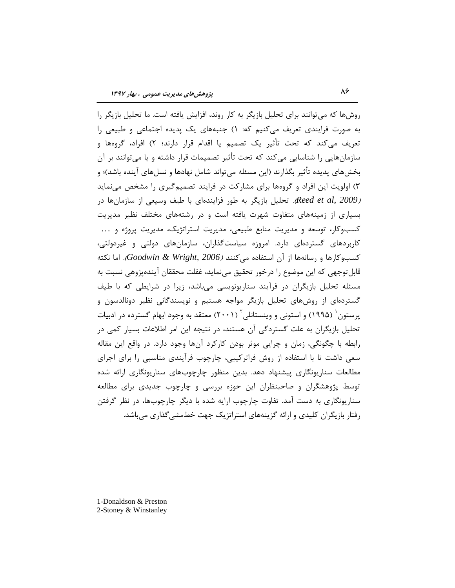روشها که می توانند برای تحلیل بازیگر به کار روند، افزایش یافته است. ما تحلیل بازیگر را به صورت فرایندی تعریف میکنیم که: ۱) جنبههای یک پدیده اجتماعی و طبیعی را تعریف می کند که تحت تأثیر یک تصمیم یا اقدام قرار دارند؛ ۲) افراد، گروهها و سازمانهایی را شناسایی می کند که تحت تأثیر تصمیمات قرار داشته و یا می توانند بر آن بخش۵مای پدیده تأثیر بگذارند (این مسئله می تواند شامل نهادها و نسلهای آینده باشد)؛ و ۳) اولویت این افراد و گروهها برای مشارکت در فرایند تصمیمگیری را مشخص می نماید *(2009 ,Reed et al.).* تحلیل بازیگر بِه طور فزایندهای با طیف وسیعی از سازمانها در بسیاری از زمینههای متفاوت شهرت یافته است و در رشتههای مختلف نظیر مدیریت کسبوکار، توسعه و مدیریت منابع طبیعی، مدیریت استراتژیک، مدیریت پروژه و ... کاربردهای گستردهای دارد. امروزه سیاستگذاران، سازمانهای دولتی و غیردولتی، كسب وكارها و رسانهها از آن استفاده می كنند (Goodwin & Wright, 2006). اما نكته قابلتوجهی كه این موضوع را درخور تحقیق مینماید، غفلت محققان آیندهپژوهی نسبت به مسئله تحلیل بازیگران در فرآیند سناریونویسی میباشد، زیرا در شرایطی که با طیف گستردهای از روشهای تحلیل بازیگر مواجه هستیم و نویسندگانی نظیر دونالدسون و پرستون ٔ (۱۹۹۵) و استونی و وینستانلی ٔ (۲۰۰۱) معتقد به وجود ابهام گسترده در ادبیات تحلیل بازیگران به علت گستردگی آن هستند، در نتیجِه این امر اطلاعات بسیار کمی در رابطه با چگونگی، زمان و چرایی موثر بودن کارکرد آنها وجود دارد. در واقع این مقاله سعی داشت تا با استفاده از روش فراترکیبی، چارچوب فرآیندی مناسبی را برای اجرای مطالعات سناریونگاری پیشنهاد دهد. بدین منظور چارچوبهای سناریونگاری ارائه شده توسط پژوهشگران و صاحبنظران این حوزه بررسی و چارچوب جدیدی برای مطالعه سناریونگاری به دست آمد. تفاوت چارچوب ارایه شده با دیگر چارچوبها، در نظر گرفتن رفتار بازیگران کلیدی و ارائه گزینههای استراتژیک جهت خطمشی گذاری میباشد.

 $\overline{a}$ 

1-Donaldson & Preston 2-Stoney & Winstanley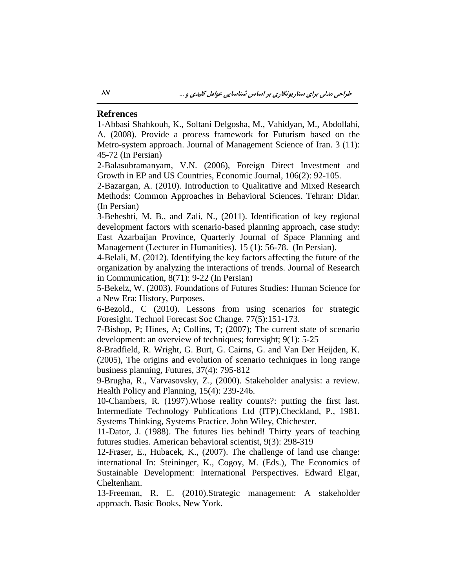## **Refrences**

1-Abbasi Shahkouh, K., Soltani Delgosha, M., Vahidyan, M., Abdollahi, A. (2008). Provide a process framework for Futurism based on the Metro-system approach. Journal of Management Science of Iran. 3 (11): 45-72 (In Persian)

2-Balasubramanyam, V.N. (2006), Foreign Direct Investment and Growth in EP and US Countries, Economic Journal, 106(2): 92-105.

2-Bazargan, A. (2010). Introduction to Qualitative and Mixed Research Methods: Common Approaches in Behavioral Sciences. Tehran: Didar. (In Persian)

3-Beheshti, M. B., and Zali, N., (2011). Identification of key regional development factors with scenario-based planning approach, case study: East Azarbaijan Province, Quarterly Journal of Space Planning and Management (Lecturer in Humanities). 15 (1): 56-78. (In Persian).

4-Belali, M. (2012). Identifying the key factors affecting the future of the organization by analyzing the interactions of trends. Journal of Research in Communication, 8(71): 9-22 (In Persian)

5-Bekelz, W. (2003). Foundations of Futures Studies: Human Science for a New Era: History, Purposes.

6-Bezold., C (2010). Lessons from using scenarios for strategic Foresight. Technol Forecast Soc Change. 77(5):151-173.

7-Bishop, P; Hines, A; Collins, T; (2007); The current state of scenario development: an overview of techniques; foresight; 9(1): 5-25

8-Bradfield, R. Wright, G. Burt, G. Cairns, G. and Van Der Heijden, K. (2005), The origins and evolution of scenario techniques in long range business planning, Futures, 37(4): 795-812

9-Brugha, R., Varvasovsky, Z., (2000). Stakeholder analysis: a review. Health Policy and Planning, 15(4): 239-246.

10-Chambers, R. (1997).Whose reality counts?: putting the first last. Intermediate Technology Publications Ltd (ITP).Checkland, P., 1981. Systems Thinking, Systems Practice. John Wiley, Chichester.

11-Dator, J. (1988). The futures lies behind! Thirty years of teaching futures studies. American behavioral scientist, 9(3): 298-319

12-Fraser, E., Hubacek, K., (2007). The challenge of land use change: international In: Steininger, K., Cogoy, M. (Eds.), The Economics of Sustainable Development: International Perspectives. Edward Elgar, Cheltenham.

13-Freeman, R. E. (2010).Strategic management: A stakeholder approach. Basic Books, New York.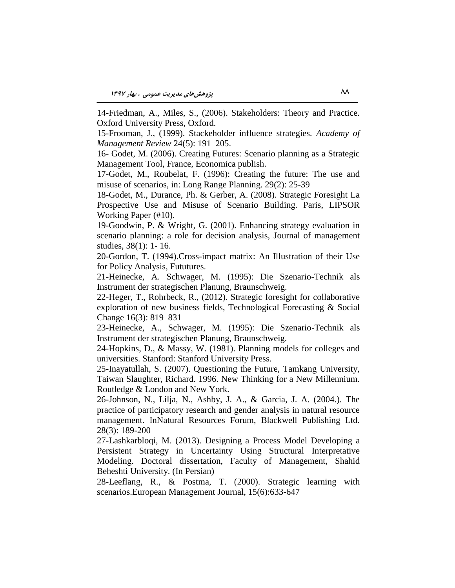14-Friedman, A., Miles, S., (2006). Stakeholders: Theory and Practice. Oxford University Press, Oxford.

15-Frooman, J., (1999). Stackeholder influence strategies*. Academy of Management Review* 24(5): 191–205.

16- Godet, M. (2006). Creating Futures: Scenario planning as a Strategic Management Tool, France, Economica publish.

17-Godet, M., Roubelat, F. (1996): Creating the future: The use and misuse of scenarios, in: Long Range Planning. 29(2): 25-39

18-Godet, M., Durance, Ph. & Gerber, A. (2008). Strategic Foresight La Prospective Use and Misuse of Scenario Building. Paris, LIPSOR Working Paper (#10).

19-Goodwin, P. & Wright, G. (2001). Enhancing strategy evaluation in scenario planning: a role for decision analysis, Journal of management studies, 38(1): 1- 16.

20-Gordon, T. (1994).Cross-impact matrix: An Illustration of their Use for Policy Analysis, Fututures.

21-Heinecke, A. Schwager, M. (1995): Die Szenario-Technik als Instrument der strategischen Planung, Braunschweig.

22-Heger, T., Rohrbeck, R., (2012). Strategic foresight for collaborative exploration of new business fields, Technological Forecasting & Social Change 16(3): 819–831

23-Heinecke, A., Schwager, M. (1995): Die Szenario-Technik als Instrument der strategischen Planung, Braunschweig.

24-Hopkins, D., & Massy, W. (1981). Planning models for colleges and universities. Stanford: Stanford University Press.

25-Inayatullah, S. (2007). Questioning the Future, Tamkang University, Taiwan Slaughter, Richard. 1996. New Thinking for a New Millennium. Routledge & London and New York.

26-Johnson, N., Lilja, N., Ashby, J. A., & Garcia, J. A. (2004.). The practice of participatory research and gender analysis in natural resource management. InNatural Resources Forum, Blackwell Publishing Ltd. 28(3): 189-200

27-Lashkarbloqi, M. (2013). Designing a Process Model Developing a Persistent Strategy in Uncertainty Using Structural Interpretative Modeling. Doctoral dissertation, Faculty of Management, Shahid Beheshti University. (In Persian)

28-Leeflang, R., & Postma, T. (2000). Strategic learning with scenarios.European Management Journal, 15(6):633-647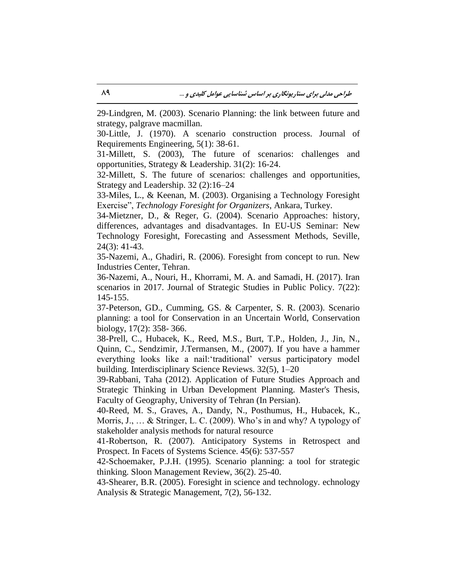29-Lindgren, M. (2003). Scenario Planning: the link between future and strategy, palgrave macmillan.

30-Little, J. (1970). A scenario construction process. Journal of Requirements Engineering, 5(1): 38-61.

31-Millett, S. (2003), The future of scenarios: challenges and opportunities, Strategy & Leadership. 31(2): 16-24.

32-Millett, S. The future of scenarios: challenges and opportunities, Strategy and Leadership. 32 (2):16–24

33-Miles, L., & Keenan, M. (2003). Organising a Technology Foresight Exercise", *Technology Foresight for Organizers*, Ankara, Turkey.

34-Mietzner, D., & Reger, G. (2004). Scenario Approaches: history, differences, advantages and disadvantages. In EU-US Seminar: New Technology Foresight, Forecasting and Assessment Methods, Seville, 24(3): 41-43.

35-Nazemi, A., Ghadiri, R. (2006). Foresight from concept to run. New Industries Center, Tehran.

36-Nazemi, A., Nouri, H., Khorrami, M. A. and Samadi, H. (2017). Iran scenarios in 2017. Journal of Strategic Studies in Public Policy. 7(22): 145-155.

37-Peterson, GD., Cumming, GS. & Carpenter, S. R. (2003). Scenario planning: a tool for Conservation in an Uncertain World, Conservation biology, 17(2): 358- 366.

38-Prell, C., Hubacek, K., Reed, M.S., Burt, T.P., Holden, J., Jin, N., Quinn, C., Sendzimir, J.Termansen, M., (2007). If you have a hammer everything looks like a nail:'traditional' versus participatory model building. Interdisciplinary Science Reviews. 32(5), 1–20

39-Rabbani, Taha (2012). Application of Future Studies Approach and Strategic Thinking in Urban Development Planning. Master's Thesis, Faculty of Geography, University of Tehran (In Persian).

40-Reed, M. S., Graves, A., Dandy, N., Posthumus, H., Hubacek, K., Morris, J., … & Stringer, L. C. (2009). Who's in and why? A typology of stakeholder analysis methods for natural resource

41-Robertson, R. (2007). Anticipatory Systems in Retrospect and Prospect. In Facets of Systems Science. 45(6): 537-557

42-Schoemaker, P.J.H. (1995). Scenario planning: a tool for strategic thinking. Sloon Management Review, 36(2). 25-40.

43-Shearer, B.R. (2005). Foresight in science and technology. echnology Analysis & Strategic Management, 7(2), 56-132.